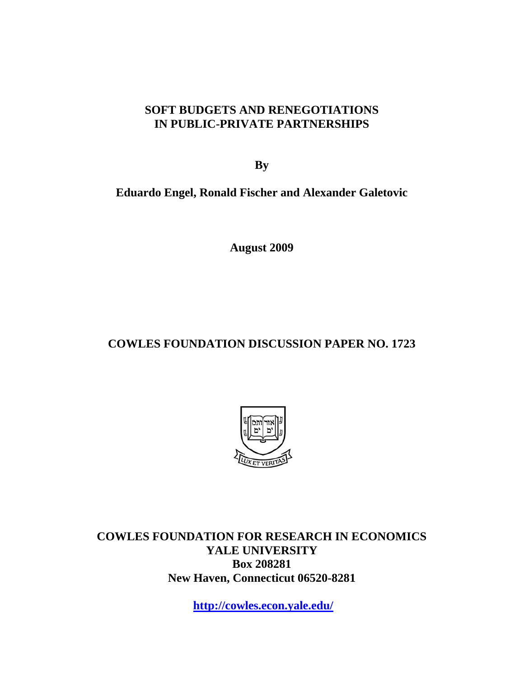## **SOFT BUDGETS AND RENEGOTIATIONS IN PUBLIC-PRIVATE PARTNERSHIPS**

**By** 

**Eduardo Engel, Ronald Fischer and Alexander Galetovic** 

**August 2009** 

## **COWLES FOUNDATION DISCUSSION PAPER NO. 1723**



**COWLES FOUNDATION FOR RESEARCH IN ECONOMICS YALE UNIVERSITY Box 208281 New Haven, Connecticut 06520-8281** 

**http://cowles.econ.yale.edu/**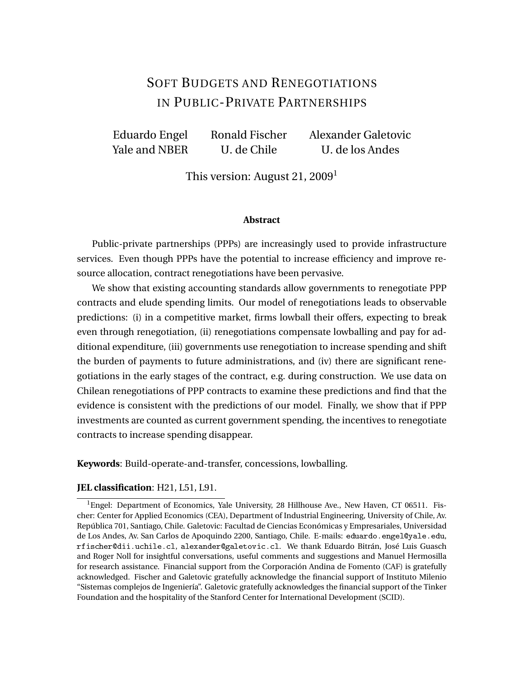# SOFT BUDGETS AND RENEGOTIATIONS IN PUBLIC-PRIVATE PARTNERSHIPS

Eduardo Engel Ronald Fischer Alexander Galetovic Yale and NBER U. de Chile U. de los Andes

This version: August 21,  $2009<sup>1</sup>$ 

#### **Abstract**

Public-private partnerships (PPPs) are increasingly used to provide infrastructure services. Even though PPPs have the potential to increase efficiency and improve resource allocation, contract renegotiations have been pervasive.

We show that existing accounting standards allow governments to renegotiate PPP contracts and elude spending limits. Our model of renegotiations leads to observable predictions: (i) in a competitive market, firms lowball their offers, expecting to break even through renegotiation, (ii) renegotiations compensate lowballing and pay for additional expenditure, (iii) governments use renegotiation to increase spending and shift the burden of payments to future administrations, and (iv) there are significant renegotiations in the early stages of the contract, e.g. during construction. We use data on Chilean renegotiations of PPP contracts to examine these predictions and find that the evidence is consistent with the predictions of our model. Finally, we show that if PPP investments are counted as current government spending, the incentives to renegotiate contracts to increase spending disappear.

**Keywords**: Build-operate-and-transfer, concessions, lowballing.

#### **JEL classification**: H21, L51, L91.

<sup>1</sup>Engel: Department of Economics, Yale University, 28 Hillhouse Ave., New Haven, CT 06511. Fischer: Center for Applied Economics (CEA), Department of Industrial Engineering, University of Chile, Av. República 701, Santiago, Chile. Galetovic: Facultad de Ciencias Económicas y Empresariales, Universidad de Los Andes, Av. San Carlos de Apoquindo 2200, Santiago, Chile. E-mails: eduardo.engel@yale.edu, rfischer@dii.uchile.cl, alexander@galetovic.cl. We thank Eduardo Bitrán, José Luis Guasch and Roger Noll for insightful conversations, useful comments and suggestions and Manuel Hermosilla for research assistance. Financial support from the Corporación Andina de Fomento (CAF) is gratefully acknowledged. Fischer and Galetovic gratefully acknowledge the financial support of Instituto Milenio "Sistemas complejos de Ingeniería". Galetovic gratefully acknowledges the financial support of the Tinker Foundation and the hospitality of the Stanford Center for International Development (SCID).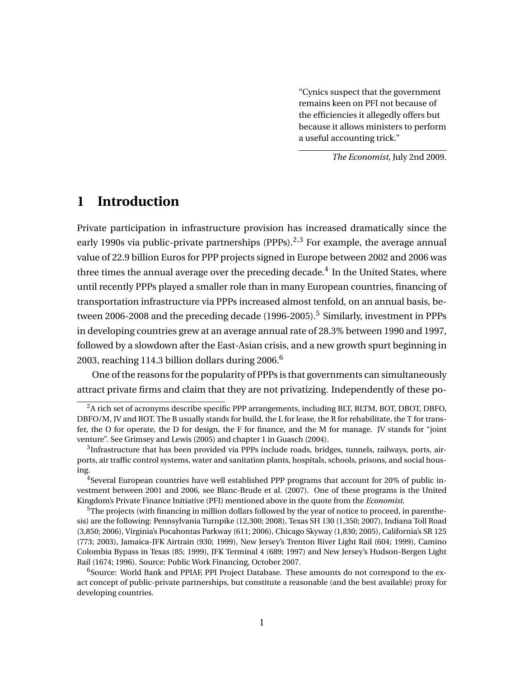"Cynics suspect that the government remains keen on PFI not because of the efficiencies it allegedly offers but because it allows ministers to perform a useful accounting trick."

*The Economist*, July 2nd 2009.

## **1 Introduction**

Private participation in infrastructure provision has increased dramatically since the early 1990s via public-private partnerships (PPPs).<sup>2,3</sup> For example, the average annual value of 22.9 billion Euros for PPP projects signed in Europe between 2002 and 2006 was three times the annual average over the preceding decade. $^4\,$  In the United States, where until recently PPPs played a smaller role than in many European countries, financing of transportation infrastructure via PPPs increased almost tenfold, on an annual basis, between 2006-2008 and the preceding decade  $(1996-2005)$ <sup>5</sup> Similarly, investment in PPPs in developing countries grew at an average annual rate of 28.3% between 1990 and 1997, followed by a slowdown after the East-Asian crisis, and a new growth spurt beginning in 2003, reaching 114.3 billion dollars during 2006. $6$ 

One of the reasons for the popularity of PPPs is that governments can simultaneously attract private firms and claim that they are not privatizing. Independently of these po-

<sup>2</sup>A rich set of acronyms describe specific PPP arrangements, including BLT, BLTM, BOT, DBOT, DBFO, DBFO/M, JV and ROT. The B usually stands for build, the L for lease, the R for rehabilitate, the T for transfer, the O for operate, the D for design, the F for finance, and the M for manage. JV stands for "joint venture". See Grimsey and Lewis (2005) and chapter 1 in Guasch (2004).

 $3$ Infrastructure that has been provided via PPPs include roads, bridges, tunnels, railways, ports, airports, air traffic control systems, water and sanitation plants, hospitals, schools, prisons, and social housing.

 $4$ Several European countries have well established PPP programs that account for 20% of public investment between 2001 and 2006, see Blanc-Brude et al. (2007). One of these programs is the United Kingdom's Private Finance Initiative (PFI) mentioned above in the quote from the *Economist*.

 $5$ The projects (with financing in million dollars followed by the year of notice to proceed, in parenthesis) are the following: Pennsylvania Turnpike (12,300; 2008), Texas SH 130 (1,350; 2007), Indiana Toll Road (3,850; 2006), Virginia's Pocahontas Parkway (611; 2006), Chicago Skyway (1,830; 2005), California's SR 125 (773; 2003), Jamaica-JFK Airtrain (930; 1999), New Jersey's Trenton River Light Rail (604; 1999), Camino Colombia Bypass in Texas (85; 1999), JFK Terminal 4 (689; 1997) and New Jersey's Hudson-Bergen Light Rail (1674; 1996). Source: Public Work Financing, October 2007.

<sup>&</sup>lt;sup>6</sup>Source: World Bank and PPIAF, PPI Project Database. These amounts do not correspond to the exact concept of public-private partnerships, but constitute a reasonable (and the best available) proxy for developing countries.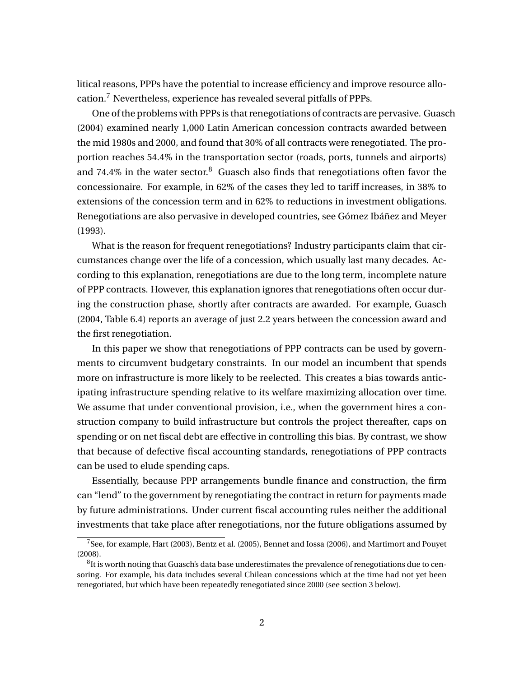litical reasons, PPPs have the potential to increase efficiency and improve resource allocation.<sup>7</sup> Nevertheless, experience has revealed several pitfalls of PPPs.

One of the problems with PPPs is that renegotiations of contracts are pervasive. Guasch (2004) examined nearly 1,000 Latin American concession contracts awarded between the mid 1980s and 2000, and found that 30% of all contracts were renegotiated. The proportion reaches 54.4% in the transportation sector (roads, ports, tunnels and airports) and 74.4% in the water sector. $8$  Guasch also finds that renegotiations often favor the concessionaire. For example, in 62% of the cases they led to tariff increases, in 38% to extensions of the concession term and in 62% to reductions in investment obligations. Renegotiations are also pervasive in developed countries, see Gómez Ibáñez and Meyer (1993).

What is the reason for frequent renegotiations? Industry participants claim that circumstances change over the life of a concession, which usually last many decades. According to this explanation, renegotiations are due to the long term, incomplete nature of PPP contracts. However, this explanation ignores that renegotiations often occur during the construction phase, shortly after contracts are awarded. For example, Guasch (2004, Table 6.4) reports an average of just 2.2 years between the concession award and the first renegotiation.

In this paper we show that renegotiations of PPP contracts can be used by governments to circumvent budgetary constraints. In our model an incumbent that spends more on infrastructure is more likely to be reelected. This creates a bias towards anticipating infrastructure spending relative to its welfare maximizing allocation over time. We assume that under conventional provision, i.e., when the government hires a construction company to build infrastructure but controls the project thereafter, caps on spending or on net fiscal debt are effective in controlling this bias. By contrast, we show that because of defective fiscal accounting standards, renegotiations of PPP contracts can be used to elude spending caps.

Essentially, because PPP arrangements bundle finance and construction, the firm can "lend" to the government by renegotiating the contract in return for payments made by future administrations. Under current fiscal accounting rules neither the additional investments that take place after renegotiations, nor the future obligations assumed by

<sup>7</sup>See, for example, Hart (2003), Bentz et al. (2005), Bennet and Iossa (2006), and Martimort and Pouyet (2008).

 $^8$ It is worth noting that Guasch's data base underestimates the prevalence of renegotiations due to censoring. For example, his data includes several Chilean concessions which at the time had not yet been renegotiated, but which have been repeatedly renegotiated since 2000 (see section 3 below).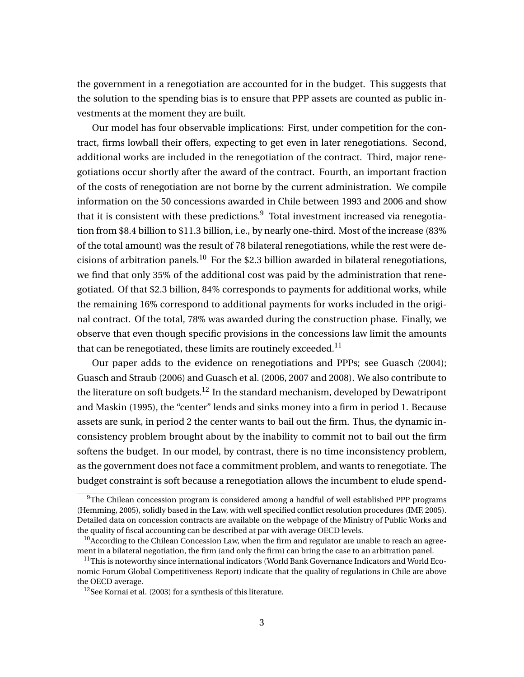the government in a renegotiation are accounted for in the budget. This suggests that the solution to the spending bias is to ensure that PPP assets are counted as public investments at the moment they are built.

Our model has four observable implications: First, under competition for the contract, firms lowball their offers, expecting to get even in later renegotiations. Second, additional works are included in the renegotiation of the contract. Third, major renegotiations occur shortly after the award of the contract. Fourth, an important fraction of the costs of renegotiation are not borne by the current administration. We compile information on the 50 concessions awarded in Chile between 1993 and 2006 and show that it is consistent with these predictions. $9$  Total investment increased via renegotiation from \$8.4 billion to \$11.3 billion, i.e., by nearly one-third. Most of the increase (83% of the total amount) was the result of 78 bilateral renegotiations, while the rest were decisions of arbitration panels.<sup>10</sup> For the \$2.3 billion awarded in bilateral renegotiations, we find that only 35% of the additional cost was paid by the administration that renegotiated. Of that \$2.3 billion, 84% corresponds to payments for additional works, while the remaining 16% correspond to additional payments for works included in the original contract. Of the total, 78% was awarded during the construction phase. Finally, we observe that even though specific provisions in the concessions law limit the amounts that can be renegotiated, these limits are routinely exceeded.<sup>11</sup>

Our paper adds to the evidence on renegotiations and PPPs; see Guasch (2004); Guasch and Straub (2006) and Guasch et al. (2006, 2007 and 2008). We also contribute to the literature on soft budgets.<sup>12</sup> In the standard mechanism, developed by Dewatripont and Maskin (1995), the "center" lends and sinks money into a firm in period 1. Because assets are sunk, in period 2 the center wants to bail out the firm. Thus, the dynamic inconsistency problem brought about by the inability to commit not to bail out the firm softens the budget. In our model, by contrast, there is no time inconsistency problem, as the government does not face a commitment problem, and wants to renegotiate. The budget constraint is soft because a renegotiation allows the incumbent to elude spend-

 $9$ The Chilean concession program is considered among a handful of well established PPP programs (Hemming, 2005), solidly based in the Law, with well specified conflict resolution procedures (IMF, 2005). Detailed data on concession contracts are available on the webpage of the Ministry of Public Works and the quality of fiscal accounting can be described at par with average OECD levels.

<sup>&</sup>lt;sup>10</sup> According to the Chilean Concession Law, when the firm and regulator are unable to reach an agreement in a bilateral negotiation, the firm (and only the firm) can bring the case to an arbitration panel.

 $11$ This is noteworthy since international indicators (World Bank Governance Indicators and World Economic Forum Global Competitiveness Report) indicate that the quality of regulations in Chile are above the OECD average.

 $12$ See Kornai et al. (2003) for a synthesis of this literature.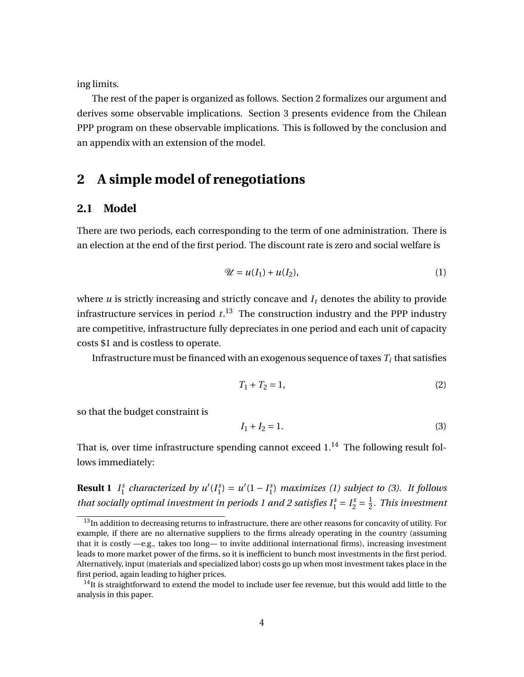ing limits.

The rest of the paper is organized as follows. Section 2 formalizes our argument and derives some observable implications. Section 3 presents evidence from the Chilean PPP program on these observable implications. This is followed by the conclusion and an appendix with an extension of the model.

## **2 A simple model of renegotiations**

## **2.1 Model**

There are two periods, each corresponding to the term of one administration. There is an election at the end of the first period. The discount rate is zero and social welfare is

$$
\mathcal{U} = u(I_1) + u(I_2),\tag{1}
$$

where  $u$  is strictly increasing and strictly concave and  $I_t$  denotes the ability to provide infrastructure services in period *t*. <sup>13</sup> The construction industry and the PPP industry are competitive, infrastructure fully depreciates in one period and each unit of capacity costs \$1 and is costless to operate.

Infrastructure must be financed with an exogenous sequence of taxes  $T_i$  that satisfies

$$
T_1 + T_2 = 1,\t\t(2)
$$

so that the budget constraint is

$$
I_1 + I_2 = 1.
$$
 (3)

That is, over time infrastructure spending cannot exceed  $1.^{14}$  The following result follows immediately:

**Result 1**  $I_1^s$  $\int_1^s$  *characterized by u'*( $I_1^s$ )  $\binom{s}{1} = u'(1 - I_1^s)$ 1 ) *maximizes (1) subject to (3). It follows that socially optimal investment in periods 1 and 2 satisfies*  $I_1^s = I_2^s = \frac{1}{2}$ 2 *. This investment*

 $13$ In addition to decreasing returns to infrastructure, there are other reasons for concavity of utility. For example, if there are no alternative suppliers to the firms already operating in the country (assuming that it is costly —e.g., takes too long— to invite additional international firms), increasing investment leads to more market power of the firms, so it is inefficient to bunch most investments in the first period. Alternatively, input (materials and specialized labor) costs go up when most investment takes place in the first period, again leading to higher prices.

 $<sup>14</sup>$ It is straightforward to extend the model to include user fee revenue, but this would add little to the</sup> analysis in this paper.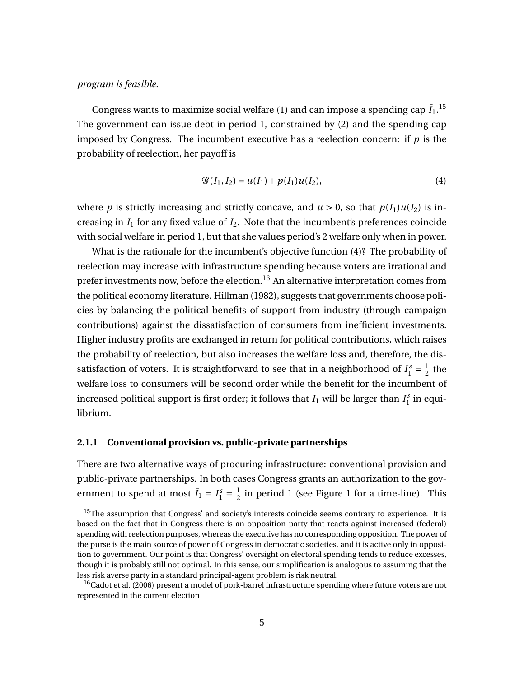### *program is feasible.*

Congress wants to maximize social welfare  $(1)$  and can impose a spending cap  $\bar{I}_1$ .<sup>15</sup> The government can issue debt in period 1, constrained by (2) and the spending cap imposed by Congress. The incumbent executive has a reelection concern: if  $p$  is the probability of reelection, her payoff is

$$
\mathcal{G}(I_1, I_2) = u(I_1) + p(I_1)u(I_2),\tag{4}
$$

where *p* is strictly increasing and strictly concave, and  $u > 0$ , so that  $p(I_1)u(I_2)$  is increasing in  $I_1$  for any fixed value of  $I_2$ . Note that the incumbent's preferences coincide with social welfare in period 1, but that she values period's 2 welfare only when in power.

What is the rationale for the incumbent's objective function (4)? The probability of reelection may increase with infrastructure spending because voters are irrational and prefer investments now, before the election.<sup>16</sup> An alternative interpretation comes from the political economy literature. Hillman (1982), suggests that governments choose policies by balancing the political benefits of support from industry (through campaign contributions) against the dissatisfaction of consumers from inefficient investments. Higher industry profits are exchanged in return for political contributions, which raises the probability of reelection, but also increases the welfare loss and, therefore, the dissatisfaction of voters. It is straightforward to see that in a neighborhood of  $I_1^s = \frac{1}{2}$  $rac{1}{2}$  the welfare loss to consumers will be second order while the benefit for the incumbent of increased political support is first order; it follows that  $I_1$  will be larger than  $I_1^s$  $i_1^s$  in equilibrium.

### **2.1.1 Conventional provision vs. public-private partnerships**

There are two alternative ways of procuring infrastructure: conventional provision and public-private partnerships. In both cases Congress grants an authorization to the government to spend at most  $\bar{I}_1 = I_1^s = \frac{1}{2}$  $\frac{1}{2}$  in period 1 (see Figure 1 for a time-line). This

<sup>&</sup>lt;sup>15</sup>The assumption that Congress' and society's interests coincide seems contrary to experience. It is based on the fact that in Congress there is an opposition party that reacts against increased (federal) spending with reelection purposes, whereas the executive has no corresponding opposition. The power of the purse is the main source of power of Congress in democratic societies, and it is active only in opposition to government. Our point is that Congress' oversight on electoral spending tends to reduce excesses, though it is probably still not optimal. In this sense, our simplification is analogous to assuming that the less risk averse party in a standard principal-agent problem is risk neutral.

<sup>&</sup>lt;sup>16</sup>Cadot et al. (2006) present a model of pork-barrel infrastructure spending where future voters are not represented in the current election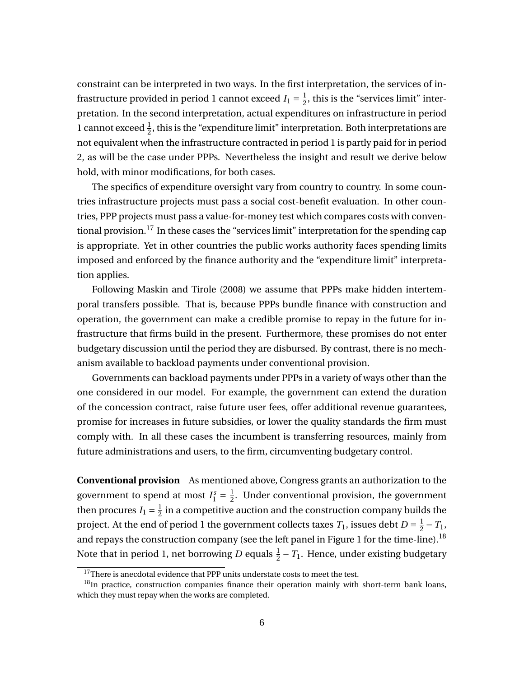constraint can be interpreted in two ways. In the first interpretation, the services of infrastructure provided in period 1 cannot exceed  $I_1 = \frac{1}{2}$  $\frac{1}{2}$ , this is the "services limit" interpretation. In the second interpretation, actual expenditures on infrastructure in period 1 cannot exceed  $\frac{1}{2}$ , this is the "expenditure limit" interpretation. Both interpretations are not equivalent when the infrastructure contracted in period 1 is partly paid for in period 2, as will be the case under PPPs. Nevertheless the insight and result we derive below hold, with minor modifications, for both cases.

The specifics of expenditure oversight vary from country to country. In some countries infrastructure projects must pass a social cost-benefit evaluation. In other countries, PPP projects must pass a value-for-money test which compares costs with conventional provision.<sup>17</sup> In these cases the "services limit" interpretation for the spending cap is appropriate. Yet in other countries the public works authority faces spending limits imposed and enforced by the finance authority and the "expenditure limit" interpretation applies.

Following Maskin and Tirole (2008) we assume that PPPs make hidden intertemporal transfers possible. That is, because PPPs bundle finance with construction and operation, the government can make a credible promise to repay in the future for infrastructure that firms build in the present. Furthermore, these promises do not enter budgetary discussion until the period they are disbursed. By contrast, there is no mechanism available to backload payments under conventional provision.

Governments can backload payments under PPPs in a variety of ways other than the one considered in our model. For example, the government can extend the duration of the concession contract, raise future user fees, offer additional revenue guarantees, promise for increases in future subsidies, or lower the quality standards the firm must comply with. In all these cases the incumbent is transferring resources, mainly from future administrations and users, to the firm, circumventing budgetary control.

**Conventional provision** As mentioned above, Congress grants an authorization to the government to spend at most  $I_1^s = \frac{1}{2}$  $\frac{1}{2}$ . Under conventional provision, the government then procures  $I_1 = \frac{1}{2}$  $\frac{1}{2}$  in a competitive auction and the construction company builds the project. At the end of period 1 the government collects taxes  $T_1$ , issues debt  $D=\frac{1}{2}$  $\frac{1}{2} - T_1$ , and repays the construction company (see the left panel in Figure 1 for the time-line).<sup>18</sup> Note that in period 1, net borrowing  $D$  equals  $\frac{1}{2} - T_1$ . Hence, under existing budgetary

 $17$ There is anecdotal evidence that PPP units understate costs to meet the test.

 $18$ In practice, construction companies finance their operation mainly with short-term bank loans, which they must repay when the works are completed.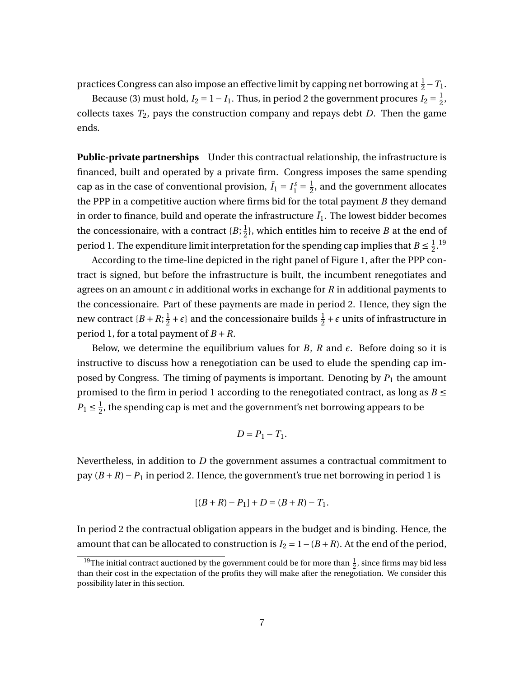practices Congress can also impose an effective limit by capping net borrowing at  $\frac{1}{2} - T_1$ .

Because (3) must hold, *I*<sub>2</sub> = 1 – *I*<sub>1</sub>. Thus, in period 2 the government procures *I*<sub>2</sub> =  $\frac{1}{2}$  $\frac{1}{2}$ , collects taxes *T*2, pays the construction company and repays debt *D*. Then the game ends.

**Public-private partnerships** Under this contractual relationship, the infrastructure is financed, built and operated by a private firm. Congress imposes the same spending cap as in the case of conventional provision,  $\bar{I}_1 = I_1^s = \frac{1}{2}$  $\frac{1}{2}$ , and the government allocates the PPP in a competitive auction where firms bid for the total payment *B* they demand in order to finance, build and operate the infrastructure  $\bar{I}_1$ . The lowest bidder becomes the concessionaire, with a contract  $\{B;\frac{1}{2}\}$  $\frac{1}{2}$ }, which entitles him to receive *B* at the end of period 1. The expenditure limit interpretation for the spending cap implies that  $B \leq \frac{1}{2}$  $\frac{1}{2}$ .<sup>19</sup>

According to the time-line depicted in the right panel of Figure 1, after the PPP contract is signed, but before the infrastructure is built, the incumbent renegotiates and agrees on an amount  $\epsilon$  in additional works in exchange for  $R$  in additional payments to the concessionaire. Part of these payments are made in period 2. Hence, they sign the new contract  ${B + R; \frac{1}{2}}$  $\frac{1}{2} + \epsilon$  and the concessionaire builds  $\frac{1}{2} + \epsilon$  units of infrastructure in period 1, for a total payment of  $B + R$ .

Below, we determine the equilibrium values for *B*, *R* and  $\epsilon$ . Before doing so it is instructive to discuss how a renegotiation can be used to elude the spending cap imposed by Congress. The timing of payments is important. Denoting by  $P_1$  the amount promised to the firm in period 1 according to the renegotiated contract, as long as  $B \leq$  $P_1 \leq \frac{1}{2}$  $\frac{1}{2}$ , the spending cap is met and the government's net borrowing appears to be

$$
D=P_1-T_1.
$$

Nevertheless, in addition to *D* the government assumes a contractual commitment to pay (*B* +*R*)−*P*<sup>1</sup> in period 2. Hence, the government's true net borrowing in period 1 is

$$
[(B+R)-P_1]+D=(B+R)-T_1.
$$

In period 2 the contractual obligation appears in the budget and is binding. Hence, the amount that can be allocated to construction is  $I_2 = 1 - (B + R)$ . At the end of the period,

<sup>&</sup>lt;sup>19</sup>The initial contract auctioned by the government could be for more than  $\frac{1}{2}$ , since firms may bid less than their cost in the expectation of the profits they will make after the renegotiation. We consider this possibility later in this section.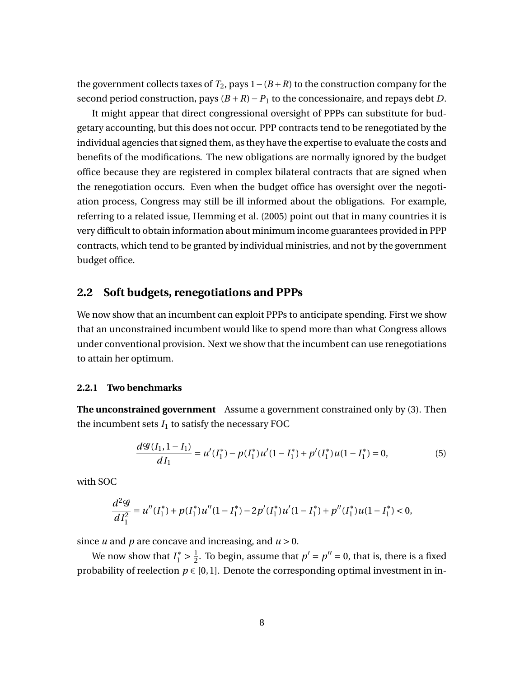the government collects taxes of  $T_2$ , pays  $1-(B+R)$  to the construction company for the second period construction, pays  $(B + R) - P_1$  to the concessionaire, and repays debt *D*.

It might appear that direct congressional oversight of PPPs can substitute for budgetary accounting, but this does not occur. PPP contracts tend to be renegotiated by the individual agencies that signed them, as they have the expertise to evaluate the costs and benefits of the modifications. The new obligations are normally ignored by the budget office because they are registered in complex bilateral contracts that are signed when the renegotiation occurs. Even when the budget office has oversight over the negotiation process, Congress may still be ill informed about the obligations. For example, referring to a related issue, Hemming et al. (2005) point out that in many countries it is very difficult to obtain information about minimum income guarantees provided in PPP contracts, which tend to be granted by individual ministries, and not by the government budget office.

### **2.2 Soft budgets, renegotiations and PPPs**

We now show that an incumbent can exploit PPPs to anticipate spending. First we show that an unconstrained incumbent would like to spend more than what Congress allows under conventional provision. Next we show that the incumbent can use renegotiations to attain her optimum.

#### **2.2.1 Two benchmarks**

**The unconstrained government** Assume a government constrained only by (3). Then the incumbent sets  $I_1$  to satisfy the necessary FOC

$$
\frac{d\mathcal{G}(I_1, 1 - I_1)}{dI_1} = u'(I_1^*) - p(I_1^*)u'(1 - I_1^*) + p'(I_1^*)u(1 - I_1^*) = 0,\tag{5}
$$

with SOC

$$
\frac{d^2\mathcal{G}}{dI_1^2} = u''(I_1^*) + p(I_1^*)u''(1 - I_1^*) - 2p'(I_1^*)u'(1 - I_1^*) + p''(I_1^*)u(1 - I_1^*) < 0,
$$

since *u* and *p* are concave and increasing, and  $u > 0$ .

We now show that  $I_1^* > \frac{1}{2}$  $\frac{1}{2}$ . To begin, assume that  $p' = p'' = 0$ , that is, there is a fixed probability of reelection  $p \in [0,1]$ . Denote the corresponding optimal investment in in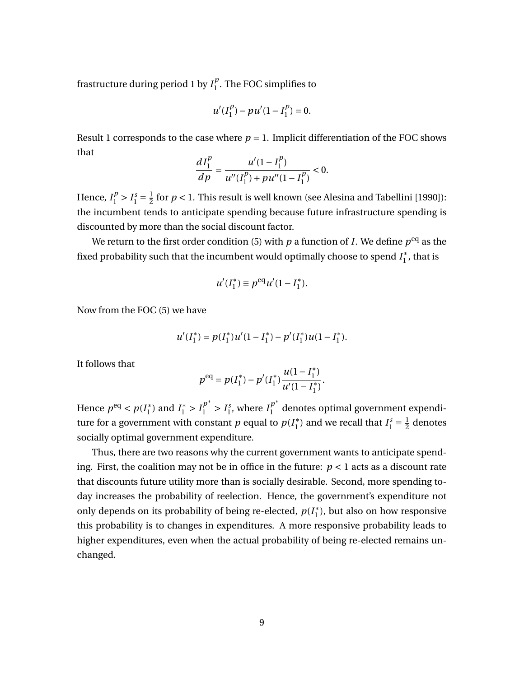frastructure during period 1 by  $I_1^p$  $\int_{1}^{\nu}$ . The FOC simplifies to

$$
u'(I_1^p) - pu'(1 - I_1^p) = 0.
$$

Result 1 corresponds to the case where  $p = 1$ . Implicit differentiation of the FOC shows that

$$
\frac{dI_1^p}{dp} = \frac{u'(1 - I_1^p)}{u''(I_1^p) + pu''(1 - I_1^p)} < 0.
$$

Hence,  $I_1^p > I_1^s = \frac{1}{2}$  $\frac{1}{2}$  for  $p < 1$ . This result is well known (see Alesina and Tabellini [1990]): the incumbent tends to anticipate spending because future infrastructure spending is discounted by more than the social discount factor.

We return to the first order condition (5) with  $p$  a function of  $I$ . We define  $p^{\text{eq}}$  as the fixed probability such that the incumbent would optimally choose to spend *I* ∗  $j<sub>1</sub>$ , that is

$$
u'(I_1^*) \equiv p^{\text{eq}} u'(1 - I_1^*).
$$

Now from the FOC (5) we have

$$
u'(I_1^*) = p(I_1^*)u'(1 - I_1^*) - p'(I_1^*)u(1 - I_1^*).
$$

It follows that

$$
p^{\text{eq}} = p(I_1^*) - p'(I_1^*) \frac{u(1 - I_1^*)}{u'(1 - I_1^*)}.
$$

Hence  $p^{eq} < p(I_1^*)$ <sup>\*</sup><sub>1</sub> and  $I_1^* > I_1^{p^*} > I_1^s$ <sup>s</sup><sub>1</sub>, where  $I_1^{p^*}$  $\int_{1}^{\rho}$  denotes optimal government expenditure for a government with constant  $p$  equal to  $p(I_1^*)$  $I_1^*$ ) and we recall that  $I_1^s = \frac{1}{2}$  $\frac{1}{2}$  denotes socially optimal government expenditure.

Thus, there are two reasons why the current government wants to anticipate spending. First, the coalition may not be in office in the future:  $p < 1$  acts as a discount rate that discounts future utility more than is socially desirable. Second, more spending today increases the probability of reelection. Hence, the government's expenditure not only depends on its probability of being re-elected, *p*(*I* ∗  $_1^*$ ), but also on how responsive this probability is to changes in expenditures. A more responsive probability leads to higher expenditures, even when the actual probability of being re-elected remains unchanged.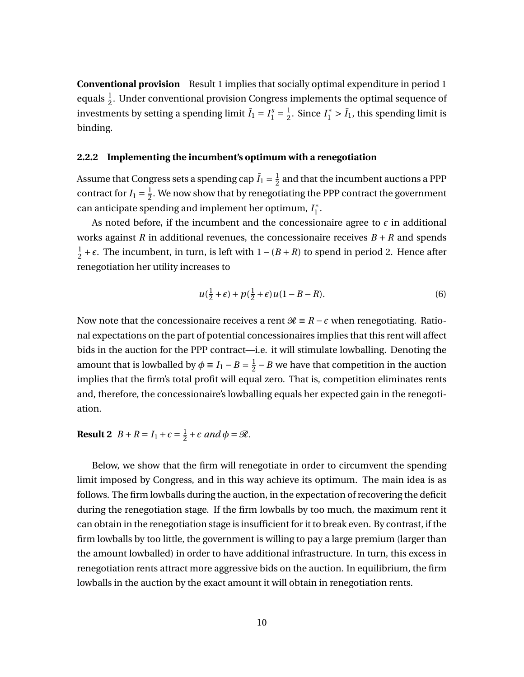**Conventional provision** Result 1 implies that socially optimal expenditure in period 1 equals  $\frac{1}{2}$ . Under conventional provision Congress implements the optimal sequence of investments by setting a spending limit  $\bar{I}_1 = I_1^s = \frac{1}{2}$  $\frac{1}{2}$ . Since *I*<sup>\*</sup><sub>1</sub> > *I*<sub>1</sub>, this spending limit is binding.

#### **2.2.2 Implementing the incumbent's optimum with a renegotiation**

Assume that Congress sets a spending cap  $\bar{I}_1 = \frac{1}{2}$  $\frac{1}{2}$  and that the incumbent auctions a PPP contract for  $I_1 = \frac{1}{2}$  $\frac{1}{2}$ . We now show that by renegotiating the PPP contract the government can anticipate spending and implement her optimum, *I* ∗  $_1^*$ .

As noted before, if the incumbent and the concessionaire agree to  $\epsilon$  in additional works against *R* in additional revenues, the concessionaire receives  $B + R$  and spends 1  $\frac{1}{2} + \epsilon$ . The incumbent, in turn, is left with  $1 - (B + R)$  to spend in period 2. Hence after renegotiation her utility increases to

$$
u(\frac{1}{2}+\epsilon) + p(\frac{1}{2}+\epsilon)u(1-B-R).
$$
 (6)

Now note that the concessionaire receives a rent  $\mathcal{R}$  ≡ *R* −  $\epsilon$  when renegotiating. Rational expectations on the part of potential concessionaires implies that this rent will affect bids in the auction for the PPP contract—i.e. it will stimulate lowballing. Denoting the amount that is lowballed by  $\phi \equiv I_1 - B = \frac{1}{2}$  $\frac{1}{2}$  – *B* we have that competition in the auction implies that the firm's total profit will equal zero. That is, competition eliminates rents and, therefore, the concessionaire's lowballing equals her expected gain in the renegotiation.

**Result 2**  $B + R = I_1 + \epsilon = \frac{1}{2}$  $\frac{1}{2} + \epsilon$  and  $\phi = \mathcal{R}$ .

Below, we show that the firm will renegotiate in order to circumvent the spending limit imposed by Congress, and in this way achieve its optimum. The main idea is as follows. The firm lowballs during the auction, in the expectation of recovering the deficit during the renegotiation stage. If the firm lowballs by too much, the maximum rent it can obtain in the renegotiation stage is insufficient for it to break even. By contrast, if the firm lowballs by too little, the government is willing to pay a large premium (larger than the amount lowballed) in order to have additional infrastructure. In turn, this excess in renegotiation rents attract more aggressive bids on the auction. In equilibrium, the firm lowballs in the auction by the exact amount it will obtain in renegotiation rents.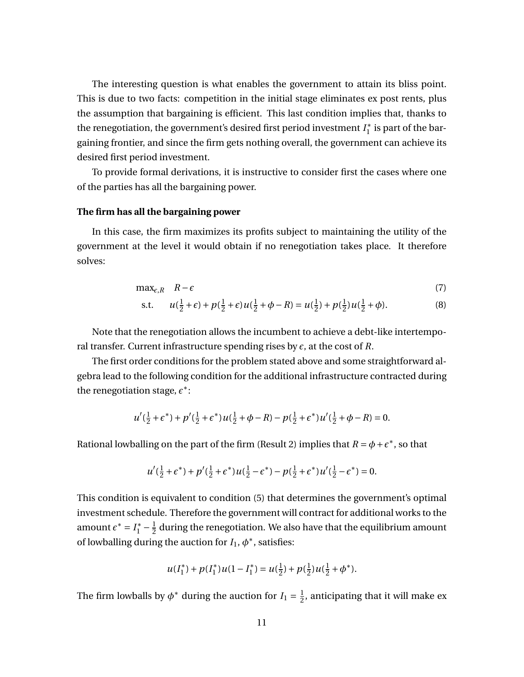The interesting question is what enables the government to attain its bliss point. This is due to two facts: competition in the initial stage eliminates ex post rents, plus the assumption that bargaining is efficient. This last condition implies that, thanks to the renegotiation, the government's desired first period investment *I* ∗  $j_1^*$  is part of the bargaining frontier, and since the firm gets nothing overall, the government can achieve its desired first period investment.

To provide formal derivations, it is instructive to consider first the cases where one of the parties has all the bargaining power.

### **The firm has all the bargaining power**

In this case, the firm maximizes its profits subject to maintaining the utility of the government at the level it would obtain if no renegotiation takes place. It therefore solves:

$$
\max_{\epsilon,R} \quad R-\epsilon \tag{7}
$$

s.t. 
$$
u(\frac{1}{2} + \epsilon) + p(\frac{1}{2} + \epsilon)u(\frac{1}{2} + \phi - R) = u(\frac{1}{2}) + p(\frac{1}{2})u(\frac{1}{2} + \phi).
$$
 (8)

Note that the renegotiation allows the incumbent to achieve a debt-like intertemporal transfer. Current infrastructure spending rises by  $\epsilon$ , at the cost of  $R$ .

The first order conditions for the problem stated above and some straightforward algebra lead to the following condition for the additional infrastructure contracted during the renegotiation stage,  $\epsilon^*$ :

$$
u'(\frac{1}{2} + \epsilon^*) + p'(\frac{1}{2} + \epsilon^*)u(\frac{1}{2} + \phi - R) - p(\frac{1}{2} + \epsilon^*)u'(\frac{1}{2} + \phi - R) = 0.
$$

Rational lowballing on the part of the firm (Result 2) implies that  $R = \phi + \epsilon^*$ , so that

$$
u'(\frac{1}{2} + \epsilon^*) + p'(\frac{1}{2} + \epsilon^*)u(\frac{1}{2} - \epsilon^*) - p(\frac{1}{2} + \epsilon^*)u'(\frac{1}{2} - \epsilon^*) = 0.
$$

This condition is equivalent to condition (5) that determines the government's optimal investment schedule. Therefore the government will contract for additional works to the amount  $\epsilon^* = I_1^* - \frac{1}{2}$  $\frac{1}{2}$  during the renegotiation. We also have that the equilibrium amount of lowballing during the auction for  $I_1$ ,  $\phi^*$ , satisfies:

$$
u(I_1^*)+p(I_1^*)u(1-I_1^*)=u(\tfrac{1}{2})+p(\tfrac{1}{2})u(\tfrac{1}{2}+\phi^*).
$$

The firm lowballs by  $\phi^*$  during the auction for  $I_1 = \frac{1}{2}$  $\frac{1}{2}$ , anticipating that it will make ex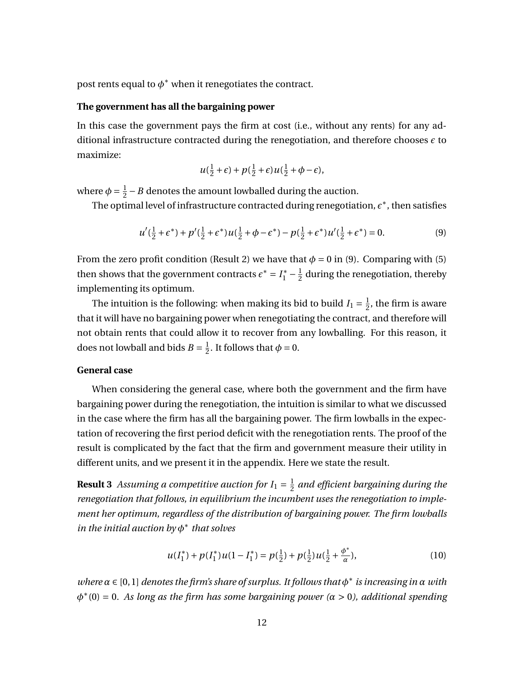post rents equal to  $\phi^*$  when it renegotiates the contract.

#### **The government has all the bargaining power**

In this case the government pays the firm at cost (i.e., without any rents) for any additional infrastructure contracted during the renegotiation, and therefore chooses  $\epsilon$  to maximize:

$$
u(\tfrac{1}{2}+\epsilon)+p(\tfrac{1}{2}+\epsilon)u(\tfrac{1}{2}+\phi-\epsilon),
$$

where  $\phi = \frac{1}{2}$  $\frac{1}{2}$  – *B* denotes the amount lowballed during the auction.

The optimal level of infrastructure contracted during renegotiation,  $\epsilon^*$ , then satisfies

$$
u'(\frac{1}{2} + \epsilon^*) + p'(\frac{1}{2} + \epsilon^*)u(\frac{1}{2} + \phi - \epsilon^*) - p(\frac{1}{2} + \epsilon^*)u'(\frac{1}{2} + \epsilon^*) = 0.
$$
 (9)

From the zero profit condition (Result 2) we have that  $\phi = 0$  in (9). Comparing with (5) then shows that the government contracts  $\epsilon^* = I_1^* - \frac{1}{2}$  $\frac{1}{2}$  during the renegotiation, thereby implementing its optimum.

The intuition is the following: when making its bid to build  $I_1 = \frac{1}{2}$  $\frac{1}{2}$ , the firm is aware that it will have no bargaining power when renegotiating the contract, and therefore will not obtain rents that could allow it to recover from any lowballing. For this reason, it does not lowball and bids  $B = \frac{1}{2}$  $\frac{1}{2}$ . It follows that  $\phi = 0$ .

### **General case**

When considering the general case, where both the government and the firm have bargaining power during the renegotiation, the intuition is similar to what we discussed in the case where the firm has all the bargaining power. The firm lowballs in the expectation of recovering the first period deficit with the renegotiation rents. The proof of the result is complicated by the fact that the firm and government measure their utility in different units, and we present it in the appendix. Here we state the result.

**Result 3** Assuming a competitive auction for  $I_1 = \frac{1}{2}$  $\frac{1}{2}$  and efficient bargaining during the *renegotiation that follows, in equilibrium the incumbent uses the renegotiation to implement her optimum, regardless of the distribution of bargaining power. The firm lowballs in the initial auction by φ* ∗ *that solves*

$$
u(I_1^*) + p(I_1^*)u(1 - I_1^*) = p(\frac{1}{2}) + p(\frac{1}{2})u(\frac{1}{2} + \frac{\phi^*}{\alpha}),
$$
\n(10)

*where α* ∈ [0, 1] *denotes the firm's share of surplus. It follows that φ* ∗ *is increasing in α with φ* ∗ (0) = 0*. As long as the firm has some bargaining power (α* > 0*), additional spending*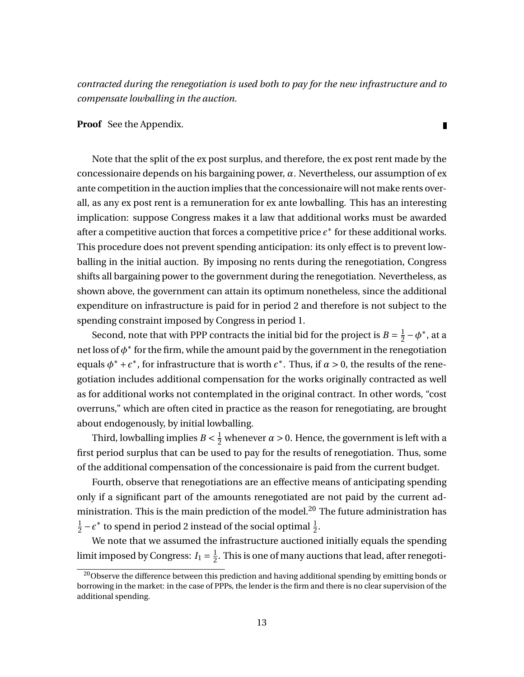*contracted during the renegotiation is used both to pay for the new infrastructure and to compensate lowballing in the auction.*

**Proof** See the Appendix.

Note that the split of the ex post surplus, and therefore, the ex post rent made by the concessionaire depends on his bargaining power, *α*. Nevertheless, our assumption of ex ante competition in the auction implies that the concessionaire will not make rents overall, as any ex post rent is a remuneration for ex ante lowballing. This has an interesting implication: suppose Congress makes it a law that additional works must be awarded after a competitive auction that forces a competitive price  $\epsilon^*$  for these additional works. This procedure does not prevent spending anticipation: its only effect is to prevent lowballing in the initial auction. By imposing no rents during the renegotiation, Congress shifts all bargaining power to the government during the renegotiation. Nevertheless, as shown above, the government can attain its optimum nonetheless, since the additional expenditure on infrastructure is paid for in period 2 and therefore is not subject to the spending constraint imposed by Congress in period 1.

Second, note that with PPP contracts the initial bid for the project is  $B = \frac{1}{2}$  $\frac{1}{2} - \phi^*$ , at a net loss of  $\phi^*$  for the firm, while the amount paid by the government in the renegotiation equals  $\phi^* + \epsilon^*$ , for infrastructure that is worth  $\epsilon^*$ . Thus, if  $\alpha > 0$ , the results of the renegotiation includes additional compensation for the works originally contracted as well as for additional works not contemplated in the original contract. In other words, "cost overruns," which are often cited in practice as the reason for renegotiating, are brought about endogenously, by initial lowballing.

Third, lowballing implies  $B < \frac{1}{2}$  whenever  $\alpha > 0$ . Hence, the government is left with a first period surplus that can be used to pay for the results of renegotiation. Thus, some of the additional compensation of the concessionaire is paid from the current budget.

Fourth, observe that renegotiations are an effective means of anticipating spending only if a significant part of the amounts renegotiated are not paid by the current administration. This is the main prediction of the model.<sup>20</sup> The future administration has 1  $\frac{1}{2} - \epsilon^*$  to spend in period 2 instead of the social optimal  $\frac{1}{2}$ .

We note that we assumed the infrastructure auctioned initially equals the spending limit imposed by Congress:  $I_1 = \frac{1}{2}$  $\frac{1}{2}$ . This is one of many auctions that lead, after renegoti-

13

П

 $^{20}\rm{Observe}$  the difference between this prediction and having additional spending by emitting bonds or borrowing in the market: in the case of PPPs, the lender is the firm and there is no clear supervision of the additional spending.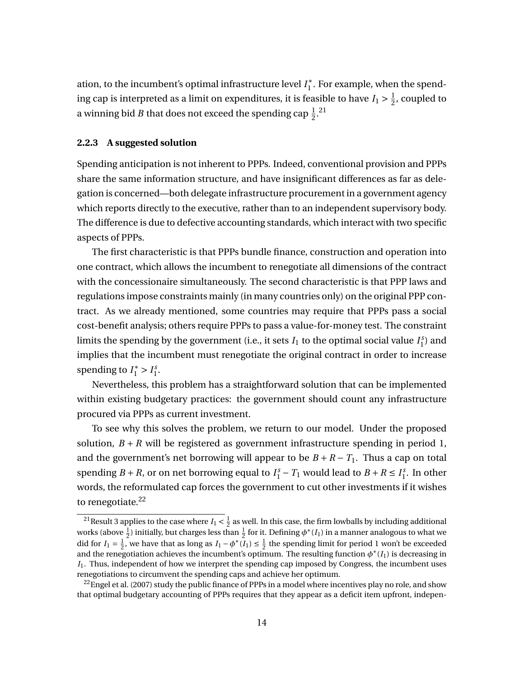ation, to the incumbent's optimal infrastructure level *I* ∗  $_1^*$ . For example, when the spending cap is interpreted as a limit on expenditures, it is feasible to have  $I_1 > \frac{1}{2}$  $\frac{1}{2}$ , coupled to a winning bid *B* that does not exceed the spending cap  $\frac{1}{2}$ .<sup>21</sup>

#### **2.2.3 A suggested solution**

Spending anticipation is not inherent to PPPs. Indeed, conventional provision and PPPs share the same information structure, and have insignificant differences as far as delegation is concerned—both delegate infrastructure procurement in a government agency which reports directly to the executive, rather than to an independent supervisory body. The difference is due to defective accounting standards, which interact with two specific aspects of PPPs.

The first characteristic is that PPPs bundle finance, construction and operation into one contract, which allows the incumbent to renegotiate all dimensions of the contract with the concessionaire simultaneously. The second characteristic is that PPP laws and regulations impose constraints mainly (in many countries only) on the original PPP contract. As we already mentioned, some countries may require that PPPs pass a social cost-benefit analysis; others require PPPs to pass a value-for-money test. The constraint limits the spending by the government (i.e., it sets  $I_1$  to the optimal social value  $I_1^{\rm s}$  $_1^{\mathcal{S}}$ ) and implies that the incumbent must renegotiate the original contract in order to increase spending to  $I_1^* > I_1^s$  $\frac{s}{1}$ .

Nevertheless, this problem has a straightforward solution that can be implemented within existing budgetary practices: the government should count any infrastructure procured via PPPs as current investment.

To see why this solves the problem, we return to our model. Under the proposed solution,  $B + R$  will be registered as government infrastructure spending in period 1, and the government's net borrowing will appear to be  $B + R - T_1$ . Thus a cap on total spending *B* + *R*, or on net borrowing equal to  $I_1^s - T_1$  would lead to *B* + *R* ≤  $I_1^s$  $i<sub>1</sub><sup>s</sup>$ . In other words, the reformulated cap forces the government to cut other investments if it wishes to renegotiate. $22$ 

<sup>&</sup>lt;sup>21</sup> Result 3 applies to the case where  $I_1 < \frac{1}{2}$  as well. In this case, the firm lowballs by including additional works (above  $\frac{1}{2}$ ) initially, but charges less than  $\frac{1}{2}$  for it. Defining  $\phi^*(I_1)$  in a manner analogous to what we did for  $I_1 = \frac{1}{2}$ , we have that as long as  $I_1 - \phi^*(I_1) \le \frac{1}{2}$  the spending limit for period 1 won't be exceeded and the renegotiation achieves the incumbent's optimum. The resulting function  $\phi^*(I_1)$  is decreasing in *I*1. Thus, independent of how we interpret the spending cap imposed by Congress, the incumbent uses renegotiations to circumvent the spending caps and achieve her optimum.

 $^{22}$ Engel et al. (2007) study the public finance of PPPs in a model where incentives play no role, and show that optimal budgetary accounting of PPPs requires that they appear as a deficit item upfront, indepen-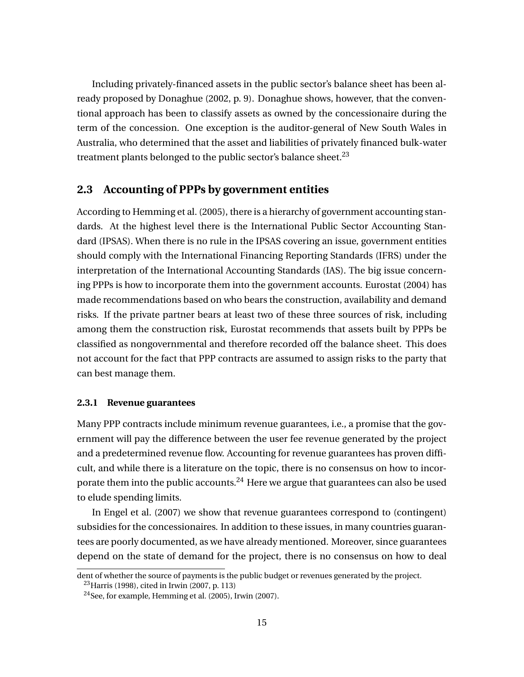Including privately-financed assets in the public sector's balance sheet has been already proposed by Donaghue (2002, p. 9). Donaghue shows, however, that the conventional approach has been to classify assets as owned by the concessionaire during the term of the concession. One exception is the auditor-general of New South Wales in Australia, who determined that the asset and liabilities of privately financed bulk-water treatment plants belonged to the public sector's balance sheet.<sup>23</sup>

### **2.3 Accounting of PPPs by government entities**

According to Hemming et al. (2005), there is a hierarchy of government accounting standards. At the highest level there is the International Public Sector Accounting Standard (IPSAS). When there is no rule in the IPSAS covering an issue, government entities should comply with the International Financing Reporting Standards (IFRS) under the interpretation of the International Accounting Standards (IAS). The big issue concerning PPPs is how to incorporate them into the government accounts. Eurostat (2004) has made recommendations based on who bears the construction, availability and demand risks. If the private partner bears at least two of these three sources of risk, including among them the construction risk, Eurostat recommends that assets built by PPPs be classified as nongovernmental and therefore recorded off the balance sheet. This does not account for the fact that PPP contracts are assumed to assign risks to the party that can best manage them.

#### **2.3.1 Revenue guarantees**

Many PPP contracts include minimum revenue guarantees, i.e., a promise that the government will pay the difference between the user fee revenue generated by the project and a predetermined revenue flow. Accounting for revenue guarantees has proven difficult, and while there is a literature on the topic, there is no consensus on how to incorporate them into the public accounts.<sup>24</sup> Here we argue that guarantees can also be used to elude spending limits.

In Engel et al. (2007) we show that revenue guarantees correspond to (contingent) subsidies for the concessionaires. In addition to these issues, in many countries guarantees are poorly documented, as we have already mentioned. Moreover, since guarantees depend on the state of demand for the project, there is no consensus on how to deal

dent of whether the source of payments is the public budget or revenues generated by the project.  $^{23}$ Harris (1998), cited in Irwin (2007, p. 113)

 $24$ See, for example, Hemming et al. (2005), Irwin (2007).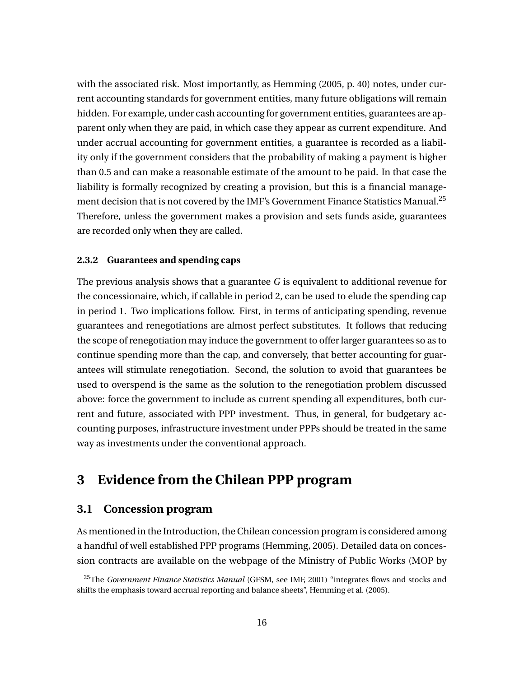with the associated risk. Most importantly, as Hemming (2005, p. 40) notes, under current accounting standards for government entities, many future obligations will remain hidden. For example, under cash accounting for government entities, guarantees are apparent only when they are paid, in which case they appear as current expenditure. And under accrual accounting for government entities, a guarantee is recorded as a liability only if the government considers that the probability of making a payment is higher than 0.5 and can make a reasonable estimate of the amount to be paid. In that case the liability is formally recognized by creating a provision, but this is a financial management decision that is not covered by the IMF's Government Finance Statistics Manual.<sup>25</sup> Therefore, unless the government makes a provision and sets funds aside, guarantees are recorded only when they are called.

#### **2.3.2 Guarantees and spending caps**

The previous analysis shows that a guarantee *G* is equivalent to additional revenue for the concessionaire, which, if callable in period 2, can be used to elude the spending cap in period 1. Two implications follow. First, in terms of anticipating spending, revenue guarantees and renegotiations are almost perfect substitutes. It follows that reducing the scope of renegotiation may induce the government to offer larger guarantees so as to continue spending more than the cap, and conversely, that better accounting for guarantees will stimulate renegotiation. Second, the solution to avoid that guarantees be used to overspend is the same as the solution to the renegotiation problem discussed above: force the government to include as current spending all expenditures, both current and future, associated with PPP investment. Thus, in general, for budgetary accounting purposes, infrastructure investment under PPPs should be treated in the same way as investments under the conventional approach.

## **3 Evidence from the Chilean PPP program**

### **3.1 Concession program**

As mentioned in the Introduction, the Chilean concession program is considered among a handful of well established PPP programs (Hemming, 2005). Detailed data on concession contracts are available on the webpage of the Ministry of Public Works (MOP by

<sup>25</sup>The *Government Finance Statistics Manual* (GFSM, see IMF, 2001) "integrates flows and stocks and shifts the emphasis toward accrual reporting and balance sheets", Hemming et al. (2005).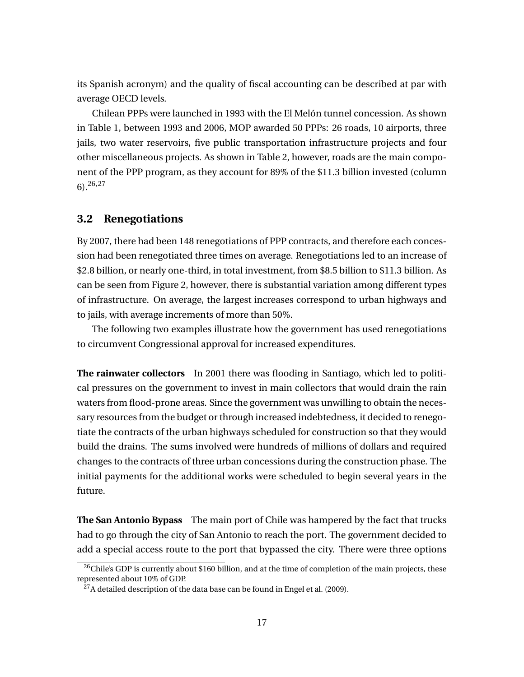its Spanish acronym) and the quality of fiscal accounting can be described at par with average OECD levels.

Chilean PPPs were launched in 1993 with the El Melón tunnel concession. As shown in Table 1, between 1993 and 2006, MOP awarded 50 PPPs: 26 roads, 10 airports, three jails, two water reservoirs, five public transportation infrastructure projects and four other miscellaneous projects. As shown in Table 2, however, roads are the main component of the PPP program, as they account for 89% of the \$11.3 billion invested (column 6).26,27

### **3.2 Renegotiations**

By 2007, there had been 148 renegotiations of PPP contracts, and therefore each concession had been renegotiated three times on average. Renegotiations led to an increase of \$2.8 billion, or nearly one-third, in total investment, from \$8.5 billion to \$11.3 billion. As can be seen from Figure 2, however, there is substantial variation among different types of infrastructure. On average, the largest increases correspond to urban highways and to jails, with average increments of more than 50%.

The following two examples illustrate how the government has used renegotiations to circumvent Congressional approval for increased expenditures.

**The rainwater collectors** In 2001 there was flooding in Santiago, which led to political pressures on the government to invest in main collectors that would drain the rain waters from flood-prone areas. Since the government was unwilling to obtain the necessary resources from the budget or through increased indebtedness, it decided to renegotiate the contracts of the urban highways scheduled for construction so that they would build the drains. The sums involved were hundreds of millions of dollars and required changes to the contracts of three urban concessions during the construction phase. The initial payments for the additional works were scheduled to begin several years in the future.

**The San Antonio Bypass** The main port of Chile was hampered by the fact that trucks had to go through the city of San Antonio to reach the port. The government decided to add a special access route to the port that bypassed the city. There were three options

<sup>&</sup>lt;sup>26</sup>Chile's GDP is currently about \$160 billion, and at the time of completion of the main projects, these represented about 10% of GDP.

 $^{27}$ A detailed description of the data base can be found in Engel et al. (2009).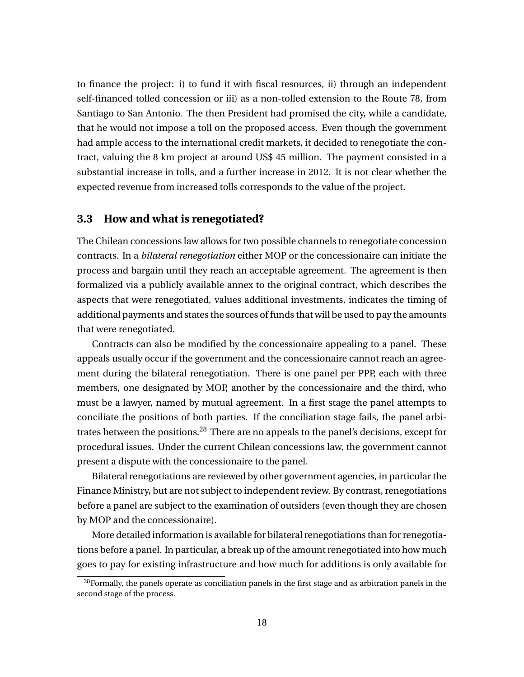to finance the project: i) to fund it with fiscal resources, ii) through an independent self-financed tolled concession or iii) as a non-tolled extension to the Route 78, from Santiago to San Antonio. The then President had promised the city, while a candidate, that he would not impose a toll on the proposed access. Even though the government had ample access to the international credit markets, it decided to renegotiate the contract, valuing the 8 km project at around US\$ 45 million. The payment consisted in a substantial increase in tolls, and a further increase in 2012. It is not clear whether the expected revenue from increased tolls corresponds to the value of the project.

### **3.3 How and what is renegotiated?**

The Chilean concessions law allows for two possible channels to renegotiate concession contracts. In a *bilateral renegotiation* either MOP or the concessionaire can initiate the process and bargain until they reach an acceptable agreement. The agreement is then formalized via a publicly available annex to the original contract, which describes the aspects that were renegotiated, values additional investments, indicates the timing of additional payments and states the sources of funds that will be used to pay the amounts that were renegotiated.

Contracts can also be modified by the concessionaire appealing to a panel. These appeals usually occur if the government and the concessionaire cannot reach an agreement during the bilateral renegotiation. There is one panel per PPP, each with three members, one designated by MOP, another by the concessionaire and the third, who must be a lawyer, named by mutual agreement. In a first stage the panel attempts to conciliate the positions of both parties. If the conciliation stage fails, the panel arbitrates between the positions. $^{28}$  There are no appeals to the panel's decisions, except for procedural issues. Under the current Chilean concessions law, the government cannot present a dispute with the concessionaire to the panel.

Bilateral renegotiations are reviewed by other government agencies, in particular the Finance Ministry, but are not subject to independent review. By contrast, renegotiations before a panel are subject to the examination of outsiders (even though they are chosen by MOP and the concessionaire).

More detailed information is available for bilateral renegotiations than for renegotiations before a panel. In particular, a break up of the amount renegotiated into how much goes to pay for existing infrastructure and how much for additions is only available for

 $^{28}$ Formally, the panels operate as conciliation panels in the first stage and as arbitration panels in the second stage of the process.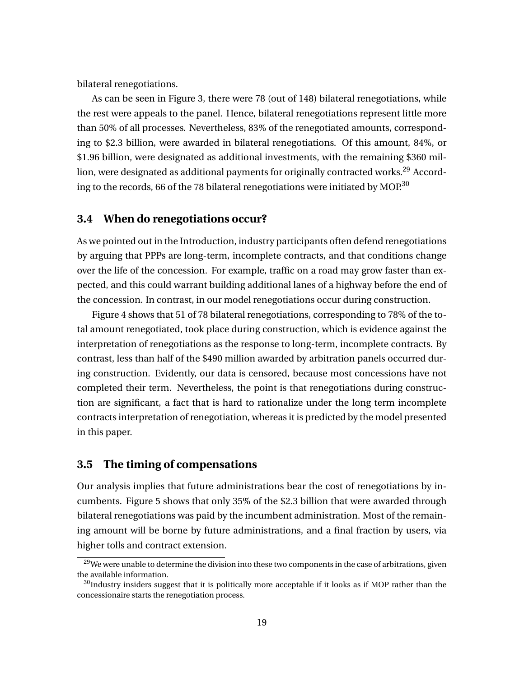bilateral renegotiations.

As can be seen in Figure 3, there were 78 (out of 148) bilateral renegotiations, while the rest were appeals to the panel. Hence, bilateral renegotiations represent little more than 50% of all processes. Nevertheless, 83% of the renegotiated amounts, corresponding to \$2.3 billion, were awarded in bilateral renegotiations. Of this amount, 84%, or \$1.96 billion, were designated as additional investments, with the remaining \$360 million, were designated as additional payments for originally contracted works.<sup>29</sup> According to the records, 66 of the 78 bilateral renegotiations were initiated by MOP.<sup>30</sup>

### **3.4 When do renegotiations occur?**

As we pointed out in the Introduction, industry participants often defend renegotiations by arguing that PPPs are long-term, incomplete contracts, and that conditions change over the life of the concession. For example, traffic on a road may grow faster than expected, and this could warrant building additional lanes of a highway before the end of the concession. In contrast, in our model renegotiations occur during construction.

Figure 4 shows that 51 of 78 bilateral renegotiations, corresponding to 78% of the total amount renegotiated, took place during construction, which is evidence against the interpretation of renegotiations as the response to long-term, incomplete contracts. By contrast, less than half of the \$490 million awarded by arbitration panels occurred during construction. Evidently, our data is censored, because most concessions have not completed their term. Nevertheless, the point is that renegotiations during construction are significant, a fact that is hard to rationalize under the long term incomplete contracts interpretation of renegotiation, whereas it is predicted by the model presented in this paper.

### **3.5 The timing of compensations**

Our analysis implies that future administrations bear the cost of renegotiations by incumbents. Figure 5 shows that only 35% of the \$2.3 billion that were awarded through bilateral renegotiations was paid by the incumbent administration. Most of the remaining amount will be borne by future administrations, and a final fraction by users, via higher tolls and contract extension.

 $^{29}$ We were unable to determine the division into these two components in the case of arbitrations, given the available information.

 $30$ Industry insiders suggest that it is politically more acceptable if it looks as if MOP rather than the concessionaire starts the renegotiation process.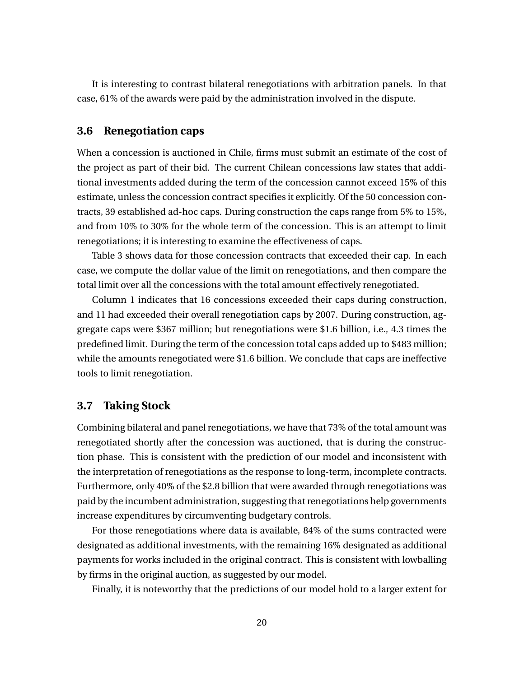It is interesting to contrast bilateral renegotiations with arbitration panels. In that case, 61% of the awards were paid by the administration involved in the dispute.

### **3.6 Renegotiation caps**

When a concession is auctioned in Chile, firms must submit an estimate of the cost of the project as part of their bid. The current Chilean concessions law states that additional investments added during the term of the concession cannot exceed 15% of this estimate, unless the concession contract specifies it explicitly. Of the 50 concession contracts, 39 established ad-hoc caps. During construction the caps range from 5% to 15%, and from 10% to 30% for the whole term of the concession. This is an attempt to limit renegotiations; it is interesting to examine the effectiveness of caps.

Table 3 shows data for those concession contracts that exceeded their cap. In each case, we compute the dollar value of the limit on renegotiations, and then compare the total limit over all the concessions with the total amount effectively renegotiated.

Column 1 indicates that 16 concessions exceeded their caps during construction, and 11 had exceeded their overall renegotiation caps by 2007. During construction, aggregate caps were \$367 million; but renegotiations were \$1.6 billion, i.e., 4.3 times the predefined limit. During the term of the concession total caps added up to \$483 million; while the amounts renegotiated were \$1.6 billion. We conclude that caps are ineffective tools to limit renegotiation.

### **3.7 Taking Stock**

Combining bilateral and panel renegotiations, we have that 73% of the total amount was renegotiated shortly after the concession was auctioned, that is during the construction phase. This is consistent with the prediction of our model and inconsistent with the interpretation of renegotiations as the response to long-term, incomplete contracts. Furthermore, only 40% of the \$2.8 billion that were awarded through renegotiations was paid by the incumbent administration, suggesting that renegotiations help governments increase expenditures by circumventing budgetary controls.

For those renegotiations where data is available, 84% of the sums contracted were designated as additional investments, with the remaining 16% designated as additional payments for works included in the original contract. This is consistent with lowballing by firms in the original auction, as suggested by our model.

Finally, it is noteworthy that the predictions of our model hold to a larger extent for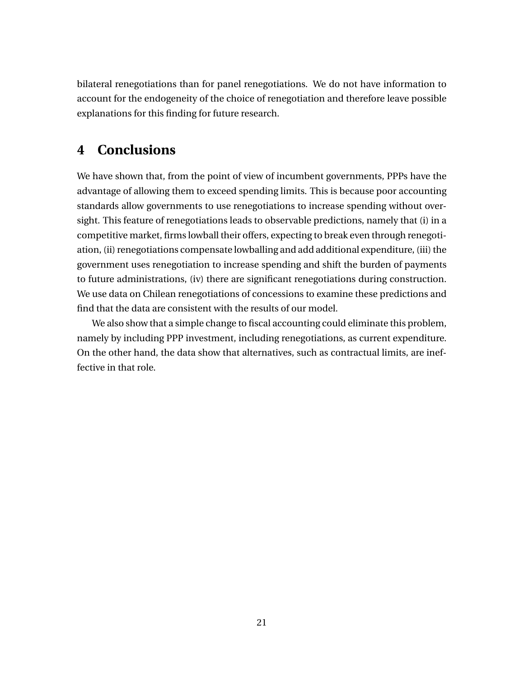bilateral renegotiations than for panel renegotiations. We do not have information to account for the endogeneity of the choice of renegotiation and therefore leave possible explanations for this finding for future research.

## **4 Conclusions**

We have shown that, from the point of view of incumbent governments, PPPs have the advantage of allowing them to exceed spending limits. This is because poor accounting standards allow governments to use renegotiations to increase spending without oversight. This feature of renegotiations leads to observable predictions, namely that (i) in a competitive market, firms lowball their offers, expecting to break even through renegotiation, (ii) renegotiations compensate lowballing and add additional expenditure, (iii) the government uses renegotiation to increase spending and shift the burden of payments to future administrations, (iv) there are significant renegotiations during construction. We use data on Chilean renegotiations of concessions to examine these predictions and find that the data are consistent with the results of our model.

We also show that a simple change to fiscal accounting could eliminate this problem, namely by including PPP investment, including renegotiations, as current expenditure. On the other hand, the data show that alternatives, such as contractual limits, are ineffective in that role.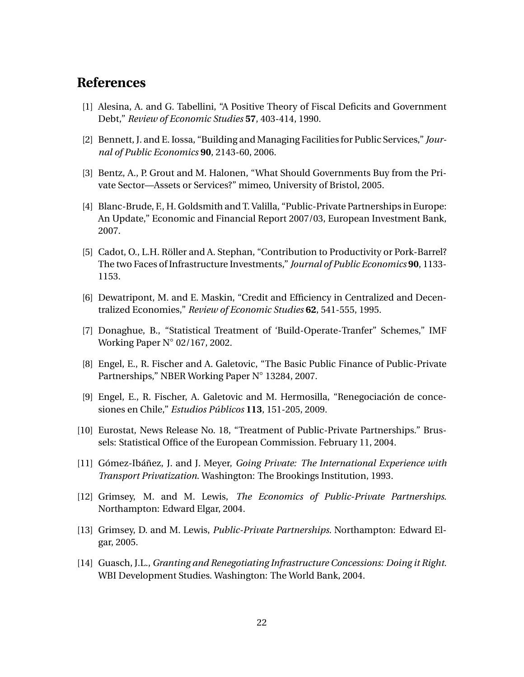## **References**

- [1] Alesina, A. and G. Tabellini, "A Positive Theory of Fiscal Deficits and Government Debt," *Review of Economic Studies* **57**, 403-414, 1990.
- [2] Bennett, J. and E. Iossa, "Building and Managing Facilities for Public Services," *Journal of Public Economics* **90**, 2143-60, 2006.
- [3] Bentz, A., P. Grout and M. Halonen, "What Should Governments Buy from the Private Sector—Assets or Services?" mimeo, University of Bristol, 2005.
- [4] Blanc-Brude, F., H. Goldsmith and T. Valilla, "Public-Private Partnerships in Europe: An Update," Economic and Financial Report 2007/03, European Investment Bank, 2007.
- [5] Cadot, O., L.H. Röller and A. Stephan, "Contribution to Productivity or Pork-Barrel? The two Faces of Infrastructure Investments," *Journal of Public Economics* **90**, 1133- 1153.
- [6] Dewatripont, M. and E. Maskin, "Credit and Efficiency in Centralized and Decentralized Economies," *Review of Economic Studies* **62**, 541-555, 1995.
- [7] Donaghue, B., "Statistical Treatment of 'Build-Operate-Tranfer" Schemes," IMF Working Paper N◦ 02/167, 2002.
- [8] Engel, E., R. Fischer and A. Galetovic, "The Basic Public Finance of Public-Private Partnerships," NBER Working Paper N◦ 13284, 2007.
- [9] Engel, E., R. Fischer, A. Galetovic and M. Hermosilla, "Renegociación de concesiones en Chile," *Estudios Públicos* **113**, 151-205, 2009.
- [10] Eurostat, News Release No. 18, "Treatment of Public-Private Partnerships." Brussels: Statistical Office of the European Commission. February 11, 2004.
- [11] Gómez-Ibáñez, J. and J. Meyer, *Going Private: The International Experience with Transport Privatization*. Washington: The Brookings Institution, 1993.
- [12] Grimsey, M. and M. Lewis, *The Economics of Public-Private Partnerships*. Northampton: Edward Elgar, 2004.
- [13] Grimsey, D. and M. Lewis, *Public-Private Partnerships*. Northampton: Edward Elgar, 2005.
- [14] Guasch, J.L., *Granting and Renegotiating Infrastructure Concessions: Doing it Right.* WBI Development Studies. Washington: The World Bank, 2004.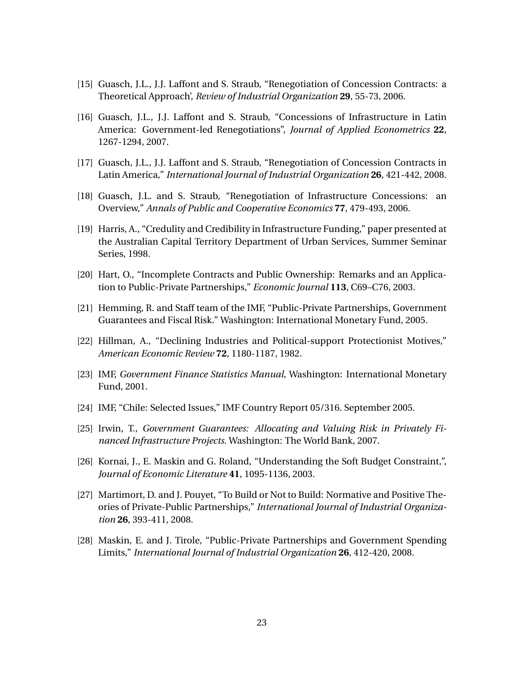- [15] Guasch, J.L., J.J. Laffont and S. Straub, "Renegotiation of Concession Contracts: a Theoretical Approach', *Review of Industrial Organization* **29**, 55-73, 2006.
- [16] Guasch, J.L., J.J. Laffont and S. Straub, "Concessions of Infrastructure in Latin America: Government-led Renegotiations", *Journal of Applied Econometrics* **22**, 1267-1294, 2007.
- [17] Guasch, J.L., J.J. Laffont and S. Straub, "Renegotiation of Concession Contracts in Latin America," *International Journal of Industrial Organization* **26**, 421-442, 2008.
- [18] Guasch, J.L. and S. Straub, "Renegotiation of Infrastructure Concessions: an Overview," *Annals of Public and Cooperative Economics* **77**, 479-493, 2006.
- [19] Harris, A., "Credulity and Credibility in Infrastructure Funding," paper presented at the Australian Capital Territory Department of Urban Services, Summer Seminar Series, 1998.
- [20] Hart, O., "Incomplete Contracts and Public Ownership: Remarks and an Application to Public-Private Partnerships," *Economic Journal* **113**, C69–C76, 2003.
- [21] Hemming, R. and Staff team of the IMF, "Public-Private Partnerships, Government Guarantees and Fiscal Risk." Washington: International Monetary Fund, 2005.
- [22] Hillman, A., "Declining Industries and Political-support Protectionist Motives," *American Economic Review* **72**, 1180-1187, 1982.
- [23] IMF, *Government Finance Statistics Manual*, Washington: International Monetary Fund, 2001.
- [24] IMF, "Chile: Selected Issues," IMF Country Report 05/316. September 2005.
- [25] Irwin, T., *Government Guarantees: Allocating and Valuing Risk in Privately Financed Infrastructure Projects*. Washington: The World Bank, 2007.
- [26] Kornai, J., E. Maskin and G. Roland, "Understanding the Soft Budget Constraint,", *Journal of Economic Literature* **41**, 1095-1136, 2003.
- [27] Martimort, D. and J. Pouyet, "To Build or Not to Build: Normative and Positive Theories of Private-Public Partnerships," *International Journal of Industrial Organization* **26**, 393-411, 2008.
- [28] Maskin, E. and J. Tirole, "Public-Private Partnerships and Government Spending Limits," *International Journal of Industrial Organization* **26**, 412-420, 2008.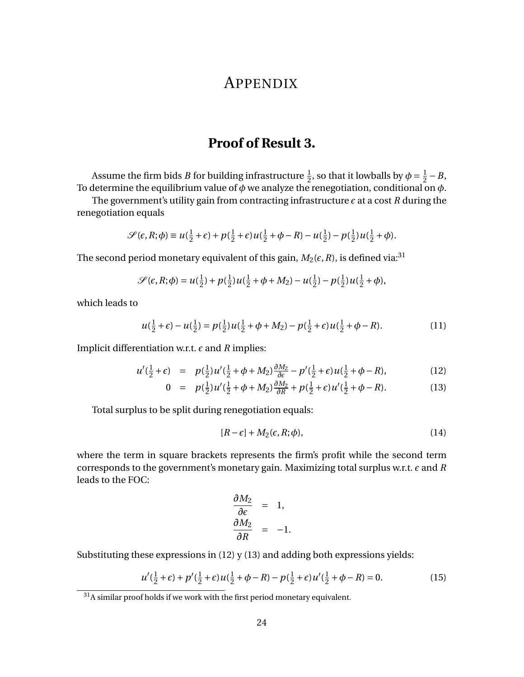## APPENDIX

## **Proof of Result 3.**

Assume the firm bids *B* for building infrastructure  $\frac{1}{2}$ , so that it lowballs by  $\phi = \frac{1}{2}$  $\frac{1}{2} - B$ , To determine the equilibrium value of *φ* we analyze the renegotiation, conditional on *φ*.

The government's utility gain from contracting infrastructure  $\epsilon$  at a cost  $R$  during the renegotiation equals

$$
\mathcal{S}(\epsilon,R;\phi) \equiv u(\tfrac{1}{2}+\epsilon) + p(\tfrac{1}{2}+\epsilon)u(\tfrac{1}{2}+\phi-R) - u(\tfrac{1}{2}) - p(\tfrac{1}{2})u(\tfrac{1}{2}+\phi).
$$

The second period monetary equivalent of this gain,  $M_2(\epsilon, R)$ , is defined via:<sup>31</sup>

$$
\mathcal{S}(\epsilon, R; \phi) = u(\frac{1}{2}) + p(\frac{1}{2})u(\frac{1}{2} + \phi + M_2) - u(\frac{1}{2}) - p(\frac{1}{2})u(\frac{1}{2} + \phi),
$$

which leads to

$$
u(\frac{1}{2} + \epsilon) - u(\frac{1}{2}) = p(\frac{1}{2})u(\frac{1}{2} + \phi + M_2) - p(\frac{1}{2} + \epsilon)u(\frac{1}{2} + \phi - R).
$$
 (11)

Implicit differentiation w.r.t.  $\epsilon$  and  $R$  implies:

$$
u'(\frac{1}{2} + \epsilon) = p(\frac{1}{2})u'(\frac{1}{2} + \phi + M_2)\frac{\partial M_2}{\partial \epsilon} - p'(\frac{1}{2} + \epsilon)u(\frac{1}{2} + \phi - R),
$$
 (12)

$$
0 = p(\frac{1}{2})u'(\frac{1}{2} + \phi + M_2)\frac{\partial M_2}{\partial R} + p(\frac{1}{2} + \epsilon)u'(\frac{1}{2} + \phi - R). \tag{13}
$$

Total surplus to be split during renegotiation equals:

$$
[R - \epsilon] + M_2(\epsilon, R; \phi), \tag{14}
$$

where the term in square brackets represents the firm's profit while the second term corresponds to the government's monetary gain. Maximizing total surplus w.r.t.  $\epsilon$  and  $R$ leads to the FOC:

$$
\frac{\partial M_2}{\partial \epsilon} = 1, \n\frac{\partial M_2}{\partial R} = -1.
$$

Substituting these expressions in  $(12)$  y  $(13)$  and adding both expressions yields:

$$
u'(\frac{1}{2} + \epsilon) + p'(\frac{1}{2} + \epsilon)u(\frac{1}{2} + \phi - R) - p(\frac{1}{2} + \epsilon)u'(\frac{1}{2} + \phi - R) = 0.
$$
 (15)

 $31$ A similar proof holds if we work with the first period monetary equivalent.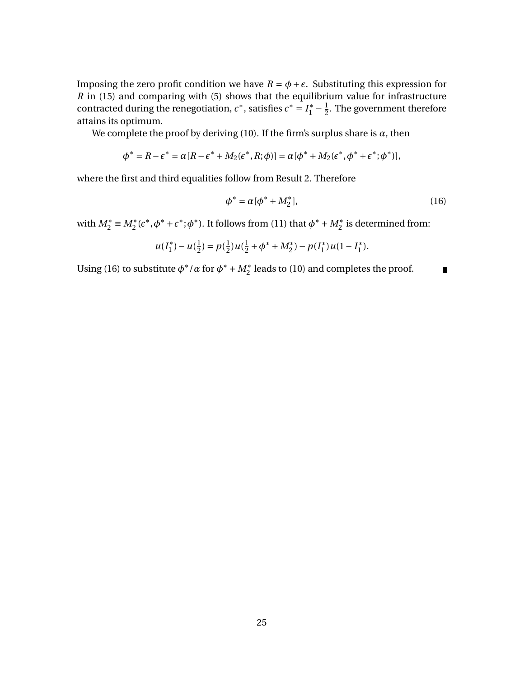Imposing the zero profit condition we have  $R = \phi + \epsilon$ . Substituting this expression for *R* in (15) and comparing with (5) shows that the equilibrium value for infrastructure contracted during the renegotiation,  $\epsilon^*$ , satisfies  $\epsilon^* = I_1^* - \frac{1}{2}$  $\frac{1}{2}$ . The government therefore attains its optimum.

We complete the proof by deriving (10). If the firm's surplus share is  $\alpha$ , then

$$
\phi^* = R - \epsilon^* = \alpha [R - \epsilon^* + M_2(\epsilon^*, R; \phi)] = \alpha [\phi^* + M_2(\epsilon^*, \phi^* + \epsilon^*; \phi^*)],
$$

where the first and third equalities follow from Result 2. Therefore

$$
\phi^* = \alpha[\phi^* + M_2^*],\tag{16}
$$

with  $M_2^* \equiv M_2^*(\epsilon^*, \phi^* + \epsilon^*; \phi^*)$ . It follows from (11) that  $\phi^* + M_2^*$  is determined from:

$$
u(I_1^*) - u(\tfrac{1}{2}) = p(\tfrac{1}{2})u(\tfrac{1}{2} + \phi^* + M_2^*) - p(I_1^*)u(1 - I_1^*).
$$

Using (16) to substitute  $\phi^*/\alpha$  for  $\phi^* + M_2^*$  leads to (10) and completes the proof.  $\blacksquare$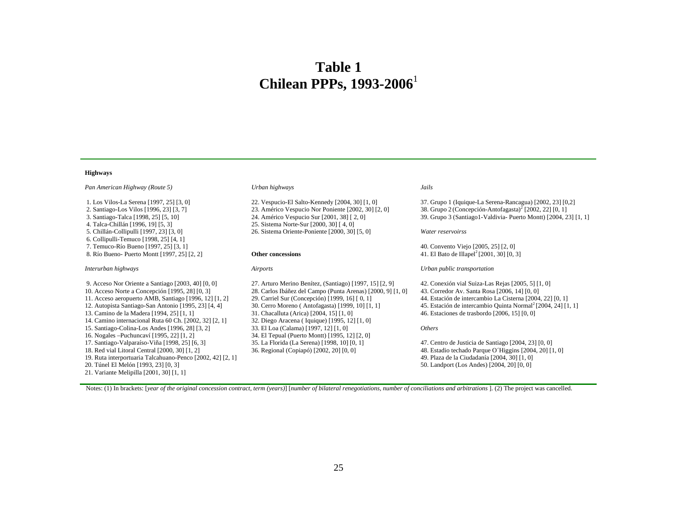## **Table 1 Chilean PPPs, 1993-2006**<sup>1</sup>

#### **Highways**

| Pan American Highway (Route 5)                                                                                                                                                                                                                                                                                                                                                                                                                                                                                                                                                                                                                                                           | Urban highways                                                                                                                                                                                                                                                                                                                                                                                                                                                                                                   | Jails                                                                                                                                                                                                                                                                                                                                                                                                                                                                                                                          |
|------------------------------------------------------------------------------------------------------------------------------------------------------------------------------------------------------------------------------------------------------------------------------------------------------------------------------------------------------------------------------------------------------------------------------------------------------------------------------------------------------------------------------------------------------------------------------------------------------------------------------------------------------------------------------------------|------------------------------------------------------------------------------------------------------------------------------------------------------------------------------------------------------------------------------------------------------------------------------------------------------------------------------------------------------------------------------------------------------------------------------------------------------------------------------------------------------------------|--------------------------------------------------------------------------------------------------------------------------------------------------------------------------------------------------------------------------------------------------------------------------------------------------------------------------------------------------------------------------------------------------------------------------------------------------------------------------------------------------------------------------------|
| 1. Los Vilos-La Serena [1997, 25] [3, 0]<br>2. Santiago-Los Vilos [1996, 23] [3, 7]<br>3. Santiago-Talca [1998, 25] [5, 10]<br>4. Talca-Chillán [1996, 19] [5, 3]                                                                                                                                                                                                                                                                                                                                                                                                                                                                                                                        | 22. Vespucio-El Salto-Kennedy [2004, 30] [1, 0]<br>23. Américo Vespucio Nor Poniente [2002, 30] [2, 0]<br>24. Américo Vespucio Sur [2001, 38] [2, 0]<br>25. Sistema Norte-Sur [2000, 30] [4, 0]                                                                                                                                                                                                                                                                                                                  | 37. Grupo 1 (Iquique-La Serena-Rancagua) [2002, 23] [0,2]<br>38. Grupo 2 (Concepción-Antofagasta) <sup>2</sup> [2002, 22] [0, 1]<br>39. Grupo 3 (Santiago1-Valdivia-Puerto Montt) [2004, 23] [1, 1]                                                                                                                                                                                                                                                                                                                            |
| 5. Chillán-Collipulli [1997, 23] [3, 0]<br>6. Collipulli-Temuco [1998, 25] [4, 1]                                                                                                                                                                                                                                                                                                                                                                                                                                                                                                                                                                                                        | 26. Sistema Oriente-Poniente [2000, 30] [5, 0]                                                                                                                                                                                                                                                                                                                                                                                                                                                                   | Water reservoirss                                                                                                                                                                                                                                                                                                                                                                                                                                                                                                              |
| 7. Temuco-Río Bueno [1997, 25] [3, 1]<br>8. Río Bueno- Puerto Montt [1997, 25] [2, 2]                                                                                                                                                                                                                                                                                                                                                                                                                                                                                                                                                                                                    | <b>Other concessions</b>                                                                                                                                                                                                                                                                                                                                                                                                                                                                                         | 40. Convento Viejo [2005, 25] [2, 0]<br>41. El Bato de Illapel <sup>2</sup> [2001, 30] [0, 3]                                                                                                                                                                                                                                                                                                                                                                                                                                  |
| Interurban highways                                                                                                                                                                                                                                                                                                                                                                                                                                                                                                                                                                                                                                                                      | Airports                                                                                                                                                                                                                                                                                                                                                                                                                                                                                                         | Urban public transportation                                                                                                                                                                                                                                                                                                                                                                                                                                                                                                    |
| 9. Acceso Nor Oriente a Santiago $[2003, 40]$ $[0, 0]$<br>10. Acceso Norte a Concepción [1995, 28] [0, 3]<br>11. Acceso aeropuerto AMB, Santiago [1996, 12] [1, 2]<br>12. Autopista Santiago-San Antonio [1995, 23] [4, 4]<br>13. Camino de la Madera [1994, 25] [1, 1]<br>14. Camino internacional Ruta 60 Ch. [2002, 32] [2, 1]<br>15. Santiago-Colina-Los Andes [1996, 28] [3, 2]<br>16. Nogales – Puchuncaví [1995, 22] [1, 2]<br>17. Santiago-Valparaíso-Viña [1998, 25] [6, 3]<br>18. Red vial Litoral Central [2000, 30] [1, 2]<br>19. Ruta interportuaria Talcahuano-Penco [2002, 42] [2, 1]<br>20. Túnel El Melón [1993, 23] [0, 3]<br>21. Variante Melipilla [2001, 30] [1, 1] | 27. Arturo Merino Benítez, (Santiago) [1997, 15] [2, 9]<br>28. Carlos Ibáñez del Campo (Punta Arenas) [2000, 9] [1, 0]<br>29. Carriel Sur (Concepción) [1999, 16] [0, 1]<br>30. Cerro Moreno (Antofagasta) [1999, 10] [1, 1]<br>31. Chacalluta (Arica) [2004, 15] [1, 0]<br>32. Diego Aracena (Iquique) [1995, 12] [1, 0]<br>33. El Loa (Calama) [1997, 12] [1, 0]<br>34. El Tepual (Puerto Montt) [1995, 12] [2, 0]<br>35. La Florida (La Serena) [1998, 10] [0, 1]<br>36. Regional (Copiapó) [2002, 20] [0, 0] | 42. Conexión vial Suiza-Las Rejas [2005, 5] [1, 0]<br>43. Corredor Av. Santa Rosa [2006, 14] [0, 0]<br>44. Estación de intercambio La Cisterna [2004, 22] [0, 1]<br>45. Estación de intercambio Quinta Normal <sup>2</sup> [2004, 24] [1, 1]<br>46. Estaciones de trasbordo [2006, 15] [0, 0]<br><i>Others</i><br>47. Centro de Justicia de Santiago [2004, 23] [0, 0]<br>48. Estadio techado Parque O'Higgins [2004, 20] [1, 0]<br>49. Plaza de la Ciudadanía [2004, 30] [1, 0]<br>50. Landport (Los Andes) [2004, 20] [0, 0] |

Notes: (1) In brackets: [*year of the original concession contract, term (years)*] [*number of bilateral renegotiations, number of conciliations and arbitrations* ]. (2) The project was cancelled.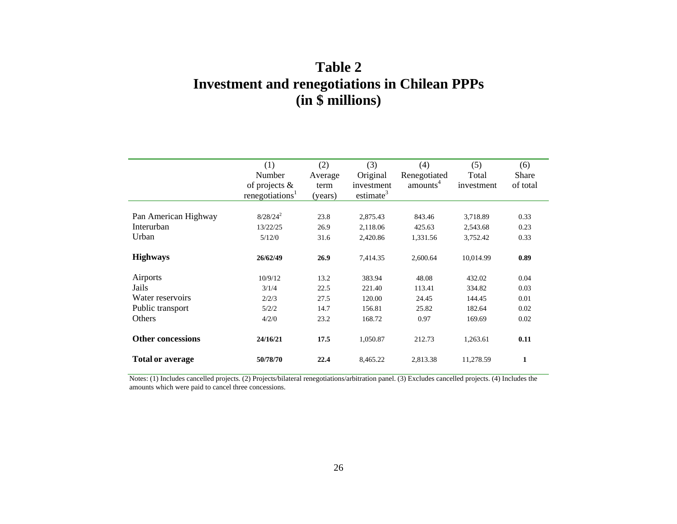## **Table 2 Investment and renegotiations in Chilean PPPs (in \$ millions)**

|                                                                     | (1)<br>Number<br>of projects $\&$<br>renegotiations <sup>1</sup> | (2)<br>Average<br>term<br>(years)    | (3)<br>Original<br>investment<br>estimate <sup>3</sup> | (4)<br>Renegotiated<br>amounts <sup>4</sup> | (5)<br>Total<br>investment                     | (6)<br>Share<br>of total             |
|---------------------------------------------------------------------|------------------------------------------------------------------|--------------------------------------|--------------------------------------------------------|---------------------------------------------|------------------------------------------------|--------------------------------------|
| Pan American Highway<br>Interurban<br>Urban                         | $8/28/24^2$<br>13/22/25<br>5/12/0                                | 23.8<br>26.9<br>31.6                 | 2,875.43<br>2,118.06<br>2,420.86                       | 843.46<br>425.63<br>1,331.56                | 3,718.89<br>2,543.68<br>3,752.42               | 0.33<br>0.23<br>0.33                 |
| <b>Highways</b>                                                     | 26/62/49                                                         | 26.9                                 | 7,414.35                                               | 2,600.64                                    | 10,014.99                                      | 0.89                                 |
| Airports<br>Jails<br>Water reservoirs<br>Public transport<br>Others | 10/9/12<br>3/1/4<br>2/2/3<br>5/2/2<br>4/2/0                      | 13.2<br>22.5<br>27.5<br>14.7<br>23.2 | 383.94<br>221.40<br>120.00<br>156.81<br>168.72         | 48.08<br>113.41<br>24.45<br>25.82<br>0.97   | 432.02<br>334.82<br>144.45<br>182.64<br>169.69 | 0.04<br>0.03<br>0.01<br>0.02<br>0.02 |
| <b>Other concessions</b>                                            | 24/16/21                                                         | 17.5                                 | 1,050.87                                               | 212.73                                      | 1,263.61                                       | 0.11                                 |
| <b>Total or average</b>                                             | 50/78/70                                                         | 22.4                                 | 8,465.22                                               | 2,813.38                                    | 11,278.59                                      | $\mathbf{1}$                         |

Notes: (1) Includes cancelled projects. (2) Projects/bilateral renegotiations/arbitration panel. (3) Excludes cancelled projects. (4) Includes the amounts which were paid to cancel three concessions.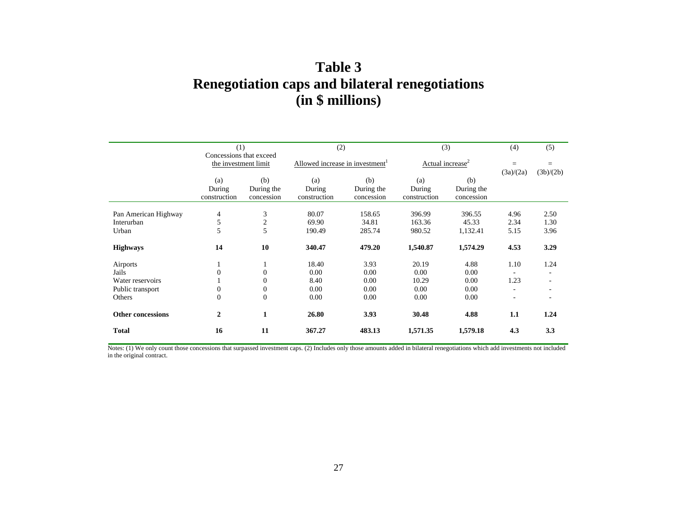## **Table 3 Renegotiation caps and bilateral renegotiations (in \$ millions)**

|                          | (1)                                             |                | (2)                                         |            | (3)                          |            | (4)       | (5)                      |
|--------------------------|-------------------------------------------------|----------------|---------------------------------------------|------------|------------------------------|------------|-----------|--------------------------|
|                          | Concessions that exceed<br>the investment limit |                |                                             |            |                              |            |           |                          |
|                          |                                                 |                | Allowed increase in investment <sup>1</sup> |            | Actual increase <sup>2</sup> |            | $=$       | $=$                      |
|                          |                                                 |                |                                             |            |                              |            | (3a)/(2a) | (3b)/(2b)                |
|                          | (a)                                             | (b)            | (a)                                         | (b)        | (a)                          | (b)        |           |                          |
|                          | During                                          | During the     | During                                      | During the | During                       | During the |           |                          |
|                          | construction                                    | concession     | construction                                | concession | construction                 | concession |           |                          |
|                          |                                                 |                |                                             |            |                              |            |           |                          |
| Pan American Highway     | 4                                               | 3              | 80.07                                       | 158.65     | 396.99                       | 396.55     | 4.96      | 2.50                     |
| Interurban               | 5                                               | $\overline{2}$ | 69.90                                       | 34.81      | 163.36                       | 45.33      | 2.34      | 1.30                     |
| Urban                    | 5                                               | 5              | 190.49                                      | 285.74     | 980.52                       | 1,132.41   | 5.15      | 3.96                     |
| <b>Highways</b>          | 14                                              | 10             | 340.47                                      | 479.20     | 1,540.87                     | 1,574.29   | 4.53      | 3.29                     |
| Airports                 |                                                 |                | 18.40                                       | 3.93       | 20.19                        | 4.88       | 1.10      | 1.24                     |
| Jails                    |                                                 | $\Omega$       | 0.00                                        | 0.00       | 0.00                         | 0.00       |           |                          |
| Water reservoirs         |                                                 | $\theta$       | 8.40                                        | 0.00       | 10.29                        | 0.00       | 1.23      |                          |
| Public transport         | $\overline{0}$                                  | $\theta$       | 0.00                                        | 0.00       | 0.00                         | 0.00       |           |                          |
| Others                   | $\overline{0}$                                  | $\overline{0}$ | 0.00                                        | 0.00       | 0.00                         | 0.00       |           | $\overline{\phantom{a}}$ |
| <b>Other concessions</b> | $\mathbf{2}$                                    | $\mathbf{1}$   | 26.80                                       | 3.93       | 30.48                        | 4.88       | 1.1       | 1.24                     |
| <b>Total</b>             | 16                                              | 11             | 367.27                                      | 483.13     | 1,571.35                     | 1,579.18   | 4.3       | 3.3                      |

Notes: (1) We only count those concessions that surpassed investment caps. (2) Includes only those amounts added in bilateral renegotiations which add investments not included in the original contract.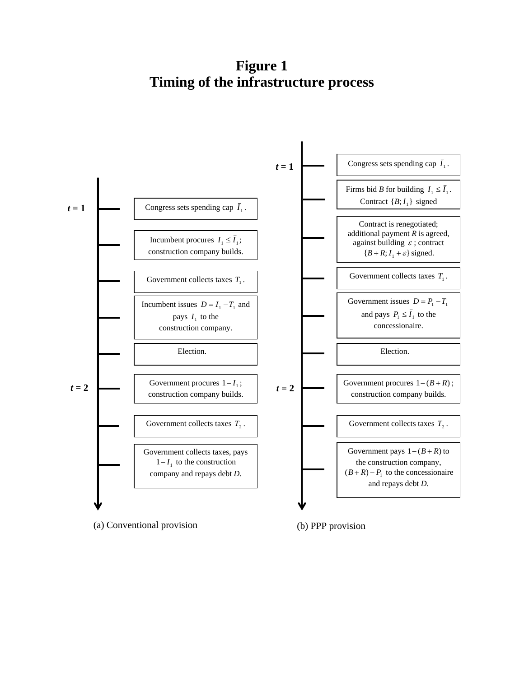**Figure 1 Timing of the infrastructure process** 



(a) Conventional provision (b) PPP provision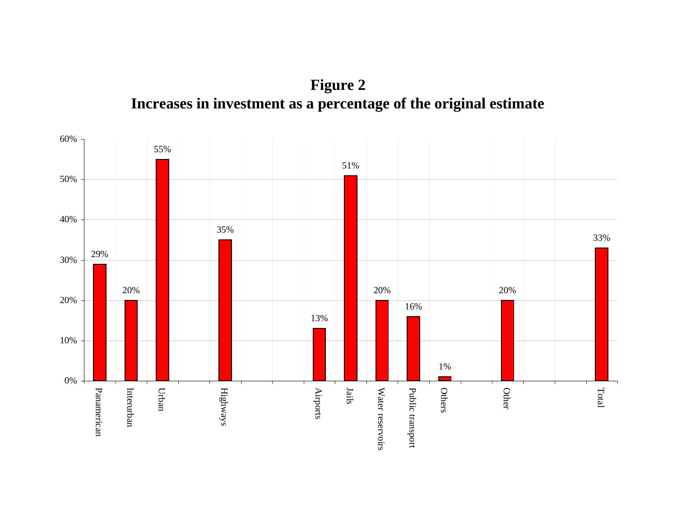**Figure 2 Increases in investment as a percentage of the original estimate**

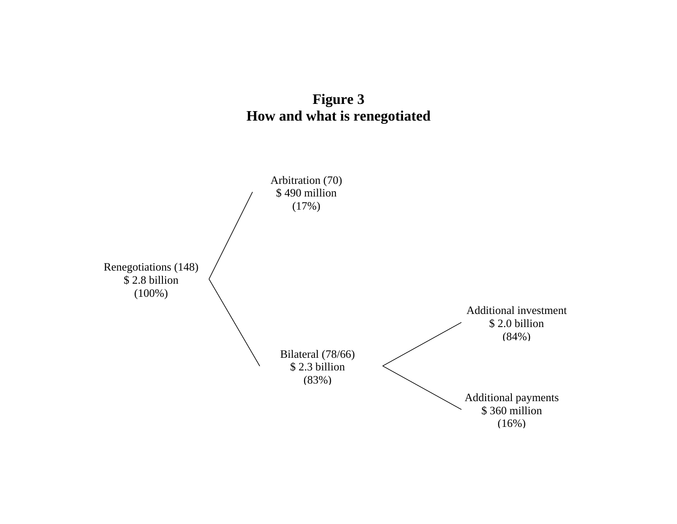

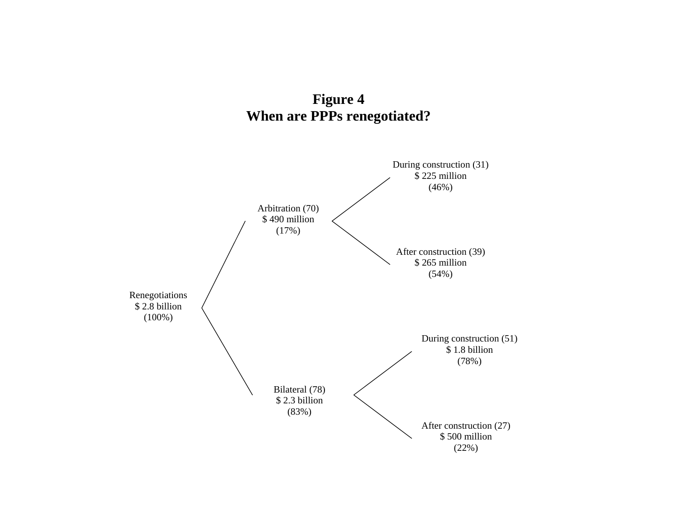

**Figure 4**